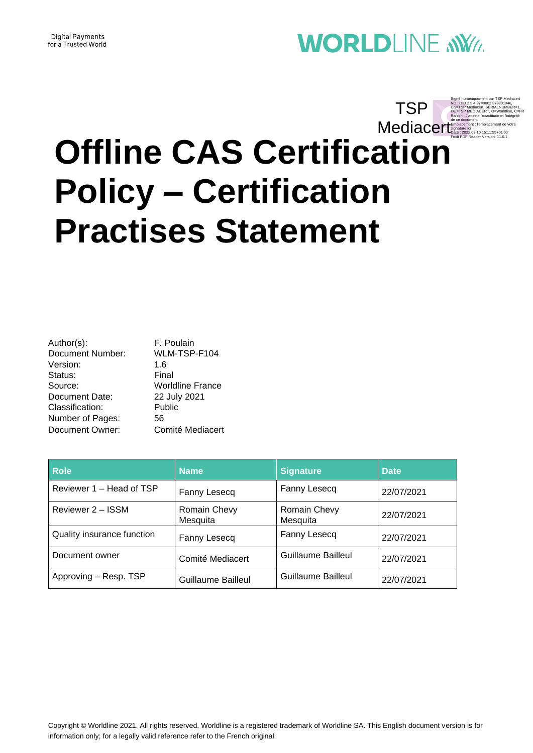#### **Digital Payments** for a Trusted World

# **WORLDLINE NWW**

Signé numériquement par TSP Mediacer

# **Offline CAS Certification Policy – Certification Practises Statement** ND : OID.2.5.4.97=0002 378901946, CN=TSP Mediacert, SERIALNUMBER=1, OU=TSP MEDIACERT, O=Worldline, C=FR Raison : J'atteste l'exactitude et l'intégrité Mediacerr<sup>e de ce document</sup><br>
Signature ici<br>
Pake : 2022.03.10 15:11:55+01'00 Date : 2022.03.10 15:11:55+01'00' Foxit PDF Reader Version: 11.0.1 **TSP**

Author(s): F. Poulain Document Number: WLM-TSP-F104 Version: 1.6 Status: Final Source: Worldline France Document Date: 22 July 2021 Classification: Public Number of Pages: 56 Document Owner: Comité Mediacert

| Role                       | <b>Name</b>              | <b>Signature</b>         | <b>Date</b> |
|----------------------------|--------------------------|--------------------------|-------------|
| Reviewer 1 – Head of TSP   | Fanny Lesecq             | Fanny Lesecq             | 22/07/2021  |
| Reviewer 2 – ISSM          | Romain Chevy<br>Mesquita | Romain Chevy<br>Mesquita | 22/07/2021  |
| Quality insurance function | Fanny Lesecq             | Fanny Lesecq             | 22/07/2021  |
| Document owner             | Comité Mediacert         | Guillaume Bailleul       | 22/07/2021  |
| Approving - Resp. TSP      | Guillaume Bailleul       | Guillaume Bailleul       | 22/07/2021  |

Copyright © Worldline 2021. All rights reserved. Worldline is a registered trademark of Worldline SA. This English document version is for information only; for a legally valid reference refer to the French original.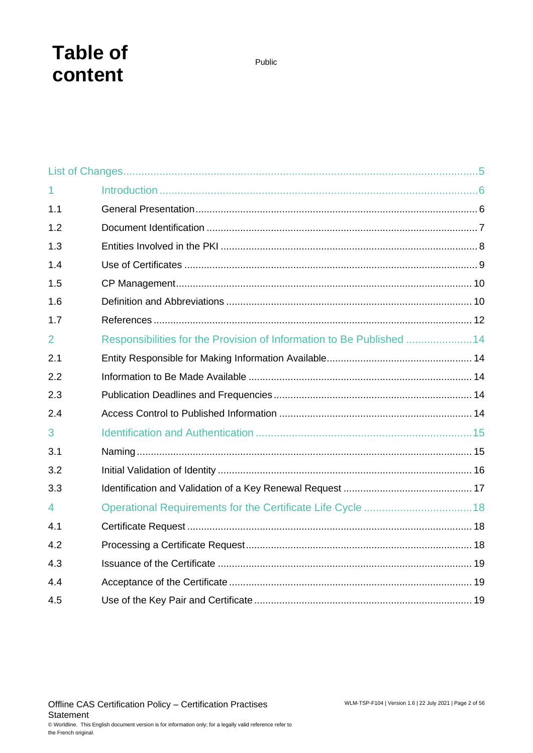# **Table of content**

| $\overline{1}$ |                                                                       |  |
|----------------|-----------------------------------------------------------------------|--|
| 1.1            |                                                                       |  |
| 1.2            |                                                                       |  |
| 1.3            |                                                                       |  |
| 1.4            |                                                                       |  |
| 1.5            |                                                                       |  |
| 1.6            |                                                                       |  |
| 1.7            |                                                                       |  |
| 2              | Responsibilities for the Provision of Information to Be Published  14 |  |
| 2.1            |                                                                       |  |
| 2.2            |                                                                       |  |
| 2.3            |                                                                       |  |
| 2.4            |                                                                       |  |
| 3              |                                                                       |  |
| 3.1            |                                                                       |  |
| 3.2            |                                                                       |  |
| 3.3            |                                                                       |  |
| $\overline{4}$ |                                                                       |  |
| 4.1            |                                                                       |  |
| 4.2            |                                                                       |  |
| 4.3            |                                                                       |  |
| 4.4            |                                                                       |  |
| 4.5            |                                                                       |  |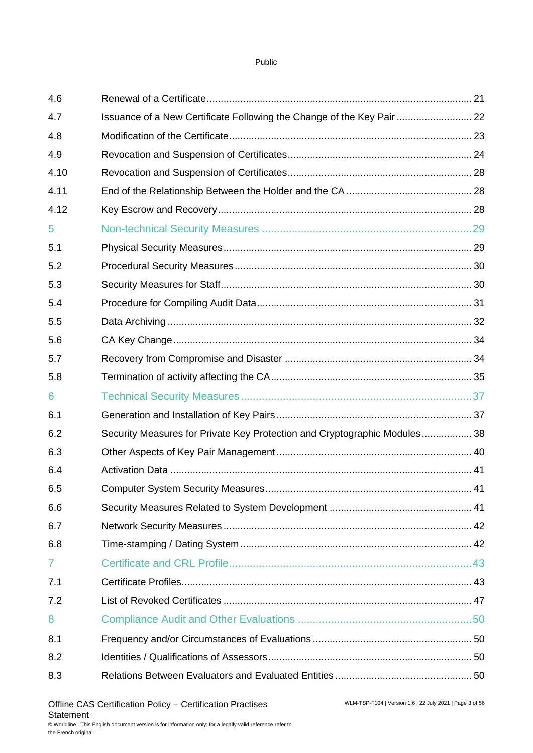| 4.6  |                                                                           |  |
|------|---------------------------------------------------------------------------|--|
| 4.7  | Issuance of a New Certificate Following the Change of the Key Pair  22    |  |
| 4.8  |                                                                           |  |
| 4.9  |                                                                           |  |
| 4.10 |                                                                           |  |
| 4.11 |                                                                           |  |
| 4.12 |                                                                           |  |
| 5    |                                                                           |  |
| 5.1  |                                                                           |  |
| 5.2  |                                                                           |  |
| 5.3  |                                                                           |  |
| 5.4  |                                                                           |  |
| 5.5  |                                                                           |  |
| 5.6  |                                                                           |  |
| 5.7  |                                                                           |  |
| 5.8  |                                                                           |  |
| 6    |                                                                           |  |
| 6.1  |                                                                           |  |
| 6.2  | Security Measures for Private Key Protection and Cryptographic Modules 38 |  |
| 6.3  |                                                                           |  |
| 6.4  |                                                                           |  |
| 6.5  |                                                                           |  |
| 6.6  |                                                                           |  |
| 6.7  |                                                                           |  |
| 6.8  |                                                                           |  |
| 7    |                                                                           |  |
| 7.1  |                                                                           |  |
| 7.2  |                                                                           |  |
| 8    |                                                                           |  |
| 8.1  |                                                                           |  |
| 8.2  |                                                                           |  |
| 8.3  |                                                                           |  |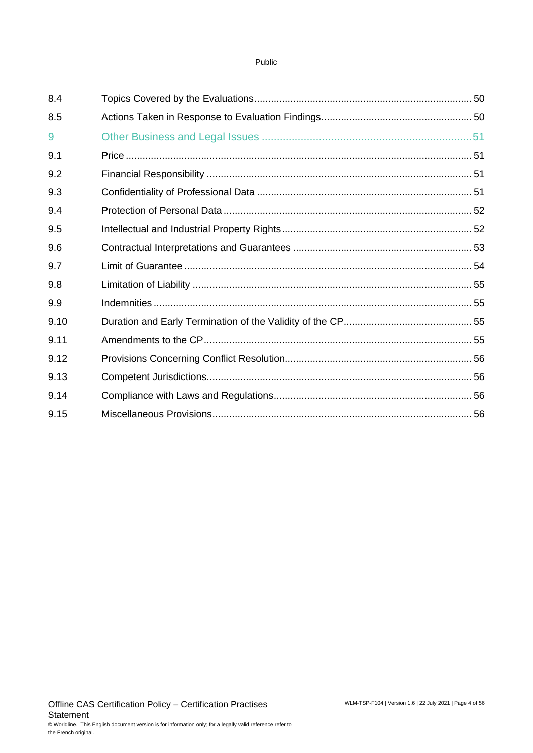| 8.4  |  |
|------|--|
| 8.5  |  |
| 9    |  |
| 9.1  |  |
| 9.2  |  |
| 9.3  |  |
| 9.4  |  |
| 9.5  |  |
| 9.6  |  |
| 9.7  |  |
| 9.8  |  |
| 9.9  |  |
| 9.10 |  |
| 9.11 |  |
| 9.12 |  |
| 9.13 |  |
| 9.14 |  |
| 9.15 |  |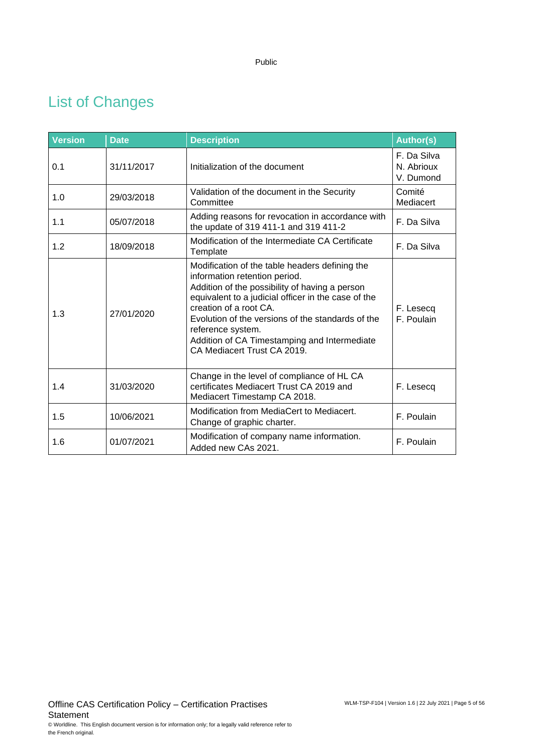# <span id="page-4-0"></span>List of Changes

| <b>Version</b> | <b>Date</b> | <b>Description</b>                                                                                                                                                                                                                                                                                                                                                          | <b>Author(s)</b>                       |
|----------------|-------------|-----------------------------------------------------------------------------------------------------------------------------------------------------------------------------------------------------------------------------------------------------------------------------------------------------------------------------------------------------------------------------|----------------------------------------|
| 0.1            | 31/11/2017  | Initialization of the document                                                                                                                                                                                                                                                                                                                                              | F. Da Silva<br>N. Abrioux<br>V. Dumond |
| 1.0            | 29/03/2018  | Validation of the document in the Security<br>Committee                                                                                                                                                                                                                                                                                                                     | Comité<br>Mediacert                    |
| 1.1            | 05/07/2018  | Adding reasons for revocation in accordance with<br>the update of 319 411-1 and 319 411-2                                                                                                                                                                                                                                                                                   | F. Da Silva                            |
| 1.2            | 18/09/2018  | Modification of the Intermediate CA Certificate<br>Template                                                                                                                                                                                                                                                                                                                 | F. Da Silva                            |
| 1.3            | 27/01/2020  | Modification of the table headers defining the<br>information retention period.<br>Addition of the possibility of having a person<br>equivalent to a judicial officer in the case of the<br>creation of a root CA.<br>Evolution of the versions of the standards of the<br>reference system.<br>Addition of CA Timestamping and Intermediate<br>CA Mediacert Trust CA 2019. | F. Lesecq<br>F. Poulain                |
| 1.4            | 31/03/2020  | Change in the level of compliance of HL CA<br>certificates Mediacert Trust CA 2019 and<br>Mediacert Timestamp CA 2018.                                                                                                                                                                                                                                                      | F. Lesecq                              |
| 1.5            | 10/06/2021  | Modification from MediaCert to Mediacert.<br>Change of graphic charter.                                                                                                                                                                                                                                                                                                     | F. Poulain                             |
| 1.6            | 01/07/2021  | Modification of company name information.<br>Added new CAs 2021.                                                                                                                                                                                                                                                                                                            | F. Poulain                             |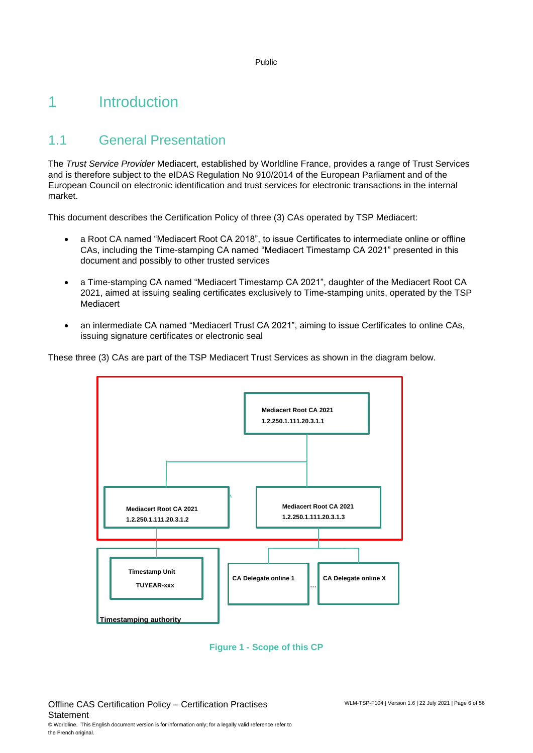# <span id="page-5-0"></span>1 Introduction

# <span id="page-5-1"></span>1.1 General Presentation

The *Trust Service Provider* Mediacert, established by Worldline France, provides a range of Trust Services and is therefore subject to the eIDAS Regulation No 910/2014 of the European Parliament and of the European Council on electronic identification and trust services for electronic transactions in the internal market.

This document describes the Certification Policy of three (3) CAs operated by TSP Mediacert:

- a Root CA named "Mediacert Root CA 2018", to issue Certificates to intermediate online or offline CAs, including the Time-stamping CA named "Mediacert Timestamp CA 2021" presented in this document and possibly to other trusted services
- a Time-stamping CA named "Mediacert Timestamp CA 2021", daughter of the Mediacert Root CA 2021, aimed at issuing sealing certificates exclusively to Time-stamping units, operated by the TSP Mediacert
- an intermediate CA named "Mediacert Trust CA 2021", aiming to issue Certificates to online CAs, issuing signature certificates or electronic seal

These three (3) CAs are part of the TSP Mediacert Trust Services as shown in the diagram below.



**Figure 1 - Scope of this CP**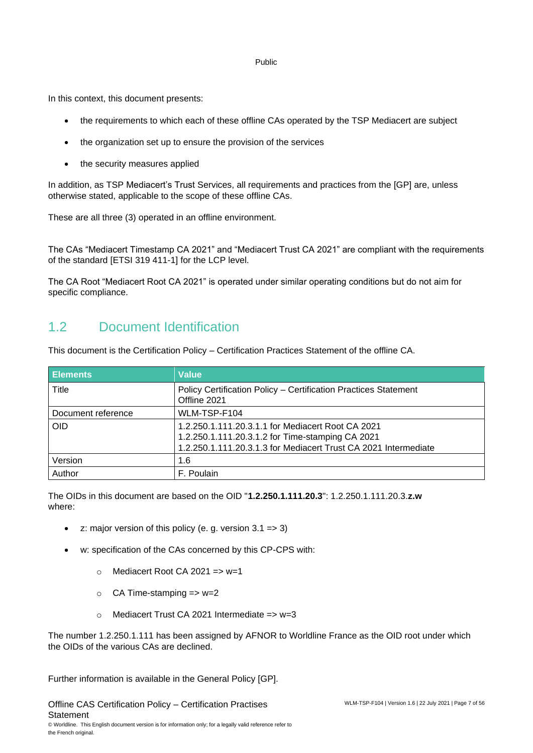In this context, this document presents:

- the requirements to which each of these offline CAs operated by the TSP Mediacert are subject
- the organization set up to ensure the provision of the services
- the security measures applied

In addition, as TSP Mediacert's Trust Services, all requirements and practices from the [GP] are, unless otherwise stated, applicable to the scope of these offline CAs.

These are all three (3) operated in an offline environment.

The CAs "Mediacert Timestamp CA 2021" and "Mediacert Trust CA 2021" are compliant with the requirements of the standard [ETSI 319 411-1] for the LCP level.

<span id="page-6-0"></span>The CA Root "Mediacert Root CA 2021" is operated under similar operating conditions but do not aim for specific compliance.

### 1.2 Document Identification

This document is the Certification Policy – Certification Practices Statement of the offline CA.

| <b>Elements</b>    | <b>Value</b>                                                                                                                                                             |
|--------------------|--------------------------------------------------------------------------------------------------------------------------------------------------------------------------|
| Title              | Policy Certification Policy - Certification Practices Statement<br>Offline 2021                                                                                          |
| Document reference | WLM-TSP-F104                                                                                                                                                             |
| <b>OID</b>         | 1.2.250.1.111.20.3.1.1 for Mediacert Root CA 2021<br>1.2.250.1.111.20.3.1.2 for Time-stamping CA 2021<br>1.2.250.1.111.20.3.1.3 for Mediacert Trust CA 2021 Intermediate |
| Version            | 1.6                                                                                                                                                                      |
| Author             | F. Poulain                                                                                                                                                               |

The OIDs in this document are based on the OID "**1.2.250.1.111.20.3**": 1.2.250.1.111.20.3.**z.w** where:

- z: major version of this policy (e. g. version  $3.1 \Rightarrow 3$ )
- w: specification of the CAs concerned by this CP-CPS with:
	- $\circ$  Mediacert Root CA 2021 => w=1
	- $\circ$  CA Time-stamping => w=2
	- $\circ$  Mediacert Trust CA 2021 Intermediate => w=3

The number 1.2.250.1.111 has been assigned by AFNOR to Worldline France as the OID root under which the OIDs of the various CAs are declined.

Further information is available in the General Policy [GP].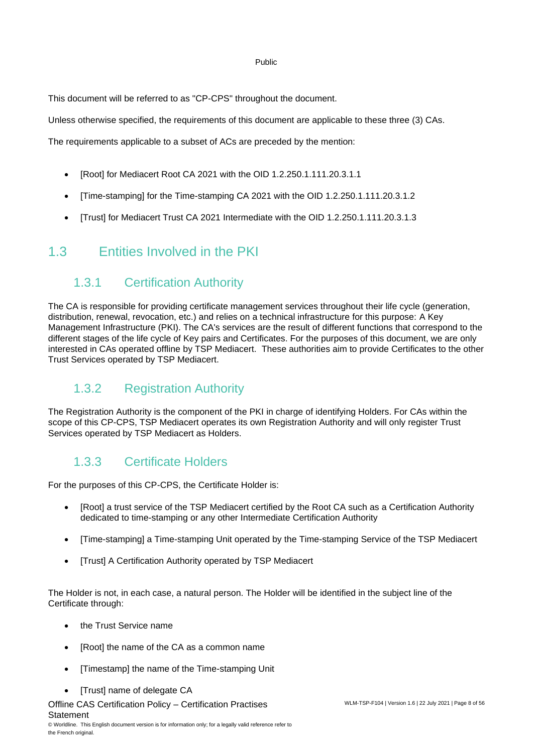This document will be referred to as "CP-CPS" throughout the document.

Unless otherwise specified, the requirements of this document are applicable to these three (3) CAs.

The requirements applicable to a subset of ACs are preceded by the mention:

- [Root] for Mediacert Root CA 2021 with the OID 1.2.250.1.111.20.3.1.1
- [Time-stamping] for the Time-stamping CA 2021 with the OID 1.2.250.1.111.20.3.1.2
- <span id="page-7-0"></span>• [Trust] for Mediacert Trust CA 2021 Intermediate with the OID 1.2.250.1.111.20.3.1.3

### 1.3 Entities Involved in the PKI

### 1.3.1 Certification Authority

The CA is responsible for providing certificate management services throughout their life cycle (generation, distribution, renewal, revocation, etc.) and relies on a technical infrastructure for this purpose: A Key Management Infrastructure (PKI). The CA's services are the result of different functions that correspond to the different stages of the life cycle of Key pairs and Certificates. For the purposes of this document, we are only interested in CAs operated offline by TSP Mediacert. These authorities aim to provide Certificates to the other Trust Services operated by TSP Mediacert.

### 1.3.2 Registration Authority

The Registration Authority is the component of the PKI in charge of identifying Holders. For CAs within the scope of this CP-CPS, TSP Mediacert operates its own Registration Authority and will only register Trust Services operated by TSP Mediacert as Holders.

### 1.3.3 Certificate Holders

For the purposes of this CP-CPS, the Certificate Holder is:

- [Root] a trust service of the TSP Mediacert certified by the Root CA such as a Certification Authority dedicated to time-stamping or any other Intermediate Certification Authority
- [Time-stamping] a Time-stamping Unit operated by the Time-stamping Service of the TSP Mediacert
- [Trust] A Certification Authority operated by TSP Mediacert

The Holder is not, in each case, a natural person. The Holder will be identified in the subject line of the Certificate through:

- the Trust Service name
- [Root] the name of the CA as a common name
- [Timestamp] the name of the Time-stamping Unit
- [Trust] name of delegate CA
- Offline CAS Certification Policy Certification Practises **Statement**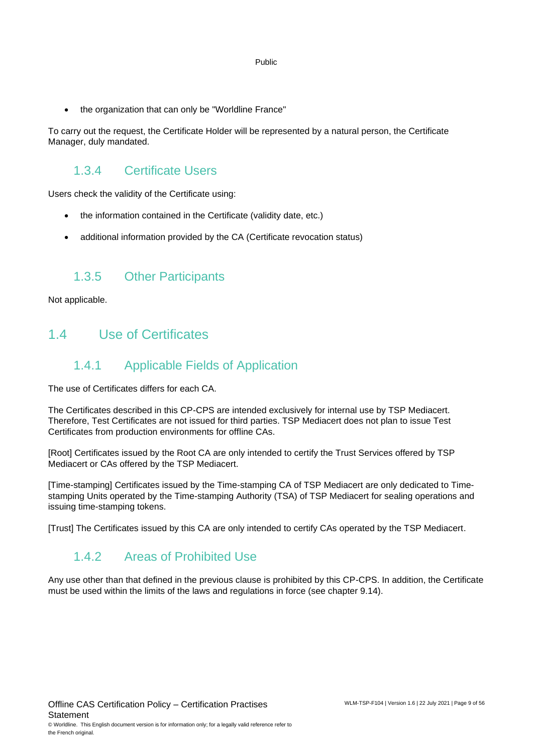• the organization that can only be "Worldline France"

To carry out the request, the Certificate Holder will be represented by a natural person, the Certificate Manager, duly mandated.

### 1.3.4 Certificate Users

Users check the validity of the Certificate using:

- the information contained in the Certificate (validity date, etc.)
- additional information provided by the CA (Certificate revocation status)

### 1.3.5 Other Participants

<span id="page-8-0"></span>Not applicable.

### 1.4 Use of Certificates

### 1.4.1 Applicable Fields of Application

The use of Certificates differs for each CA.

The Certificates described in this CP-CPS are intended exclusively for internal use by TSP Mediacert. Therefore, Test Certificates are not issued for third parties. TSP Mediacert does not plan to issue Test Certificates from production environments for offline CAs.

[Root] Certificates issued by the Root CA are only intended to certify the Trust Services offered by TSP Mediacert or CAs offered by the TSP Mediacert.

[Time-stamping] Certificates issued by the Time-stamping CA of TSP Mediacert are only dedicated to Timestamping Units operated by the Time-stamping Authority (TSA) of TSP Mediacert for sealing operations and issuing time-stamping tokens.

[Trust] The Certificates issued by this CA are only intended to certify CAs operated by the TSP Mediacert.

### 1.4.2 Areas of Prohibited Use

Any use other than that defined in the previous clause is prohibited by this CP-CPS. In addition, the Certificate must be used within the limits of the laws and regulations in force (see chapter 9.14).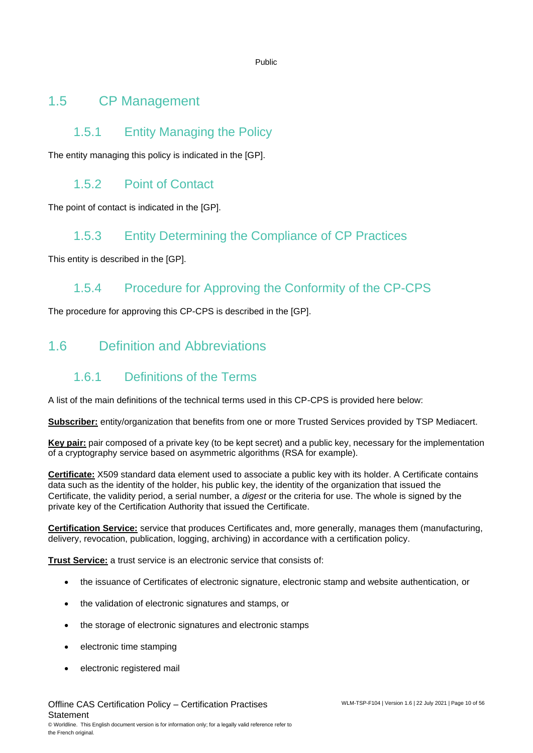### <span id="page-9-0"></span>1.5 CP Management

### 1.5.1 Entity Managing the Policy

The entity managing this policy is indicated in the [GP].

### 1.5.2 Point of Contact

The point of contact is indicated in the [GP].

### 1.5.3 Entity Determining the Compliance of CP Practices

This entity is described in the [GP].

### 1.5.4 Procedure for Approving the Conformity of the CP-CPS

<span id="page-9-1"></span>The procedure for approving this CP-CPS is described in the [GP].

# 1.6 Definition and Abbreviations

# 1.6.1 Definitions of the Terms

A list of the main definitions of the technical terms used in this CP-CPS is provided here below:

**Subscriber:** entity/organization that benefits from one or more Trusted Services provided by TSP Mediacert.

**Key pair:** pair composed of a private key (to be kept secret) and a public key, necessary for the implementation of a cryptography service based on asymmetric algorithms (RSA for example).

**Certificate:** X509 standard data element used to associate a public key with its holder. A Certificate contains data such as the identity of the holder, his public key, the identity of the organization that issued the Certificate, the validity period, a serial number, a *digest* or the criteria for use. The whole is signed by the private key of the Certification Authority that issued the Certificate.

**Certification Service:** service that produces Certificates and, more generally, manages them (manufacturing, delivery, revocation, publication, logging, archiving) in accordance with a certification policy.

**Trust Service:** a trust service is an electronic service that consists of:

- the issuance of Certificates of electronic signature, electronic stamp and website authentication, or
- the validation of electronic signatures and stamps, or
- the storage of electronic signatures and electronic stamps
- electronic time stamping
- electronic registered mail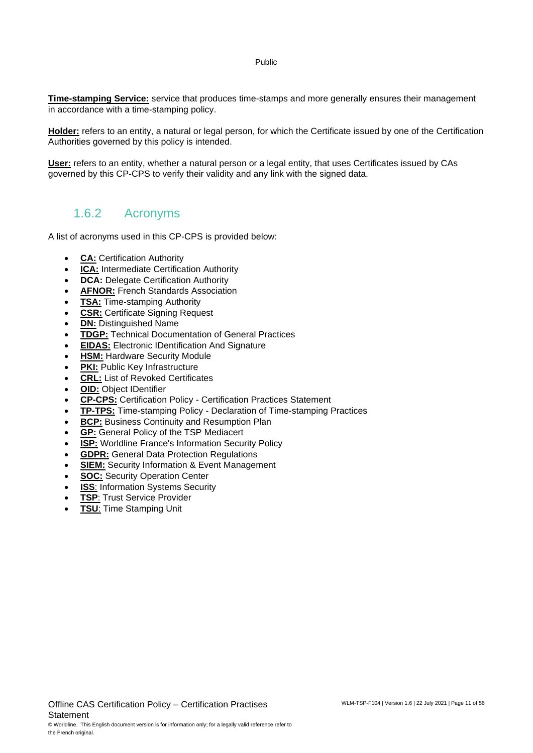**Time-stamping Service:** service that produces time-stamps and more generally ensures their management in accordance with a time-stamping policy.

**Holder:** refers to an entity, a natural or legal person, for which the Certificate issued by one of the Certification Authorities governed by this policy is intended.

**User:** refers to an entity, whether a natural person or a legal entity, that uses Certificates issued by CAs governed by this CP-CPS to verify their validity and any link with the signed data.

### 1.6.2 Acronyms

A list of acronyms used in this CP-CPS is provided below:

- **CA: Certification Authority**
- **ICA:** Intermediate Certification Authority
- **DCA:** Delegate Certification Authority
- **AFNOR:** French Standards Association
- **TSA:** Time-stamping Authority
- **CSR:** Certificate Signing Request
- **DN:** Distinguished Name
- **TDGP:** Technical Documentation of General Practices
- **EIDAS:** Electronic IDentification And Signature
- **HSM: Hardware Security Module**
- **PKI:** Public Key Infrastructure
- **CRL:** List of Revoked Certificates
- **OID:** Object IDentifier
- **CP-CPS:** Certification Policy Certification Practices Statement
- **TP-TPS:** Time-stamping Policy Declaration of Time-stamping Practices
- **BCP:** Business Continuity and Resumption Plan
- **GP:** General Policy of the TSP Mediacert
- **ISP:** Worldline France's Information Security Policy
- **GDPR:** General Data Protection Regulations
- **SIEM:** Security Information & Event Management
- **SOC:** Security Operation Center
- **ISS: Information Systems Security**
- **TSP: Trust Service Provider**
- **TSU**: Time Stamping Unit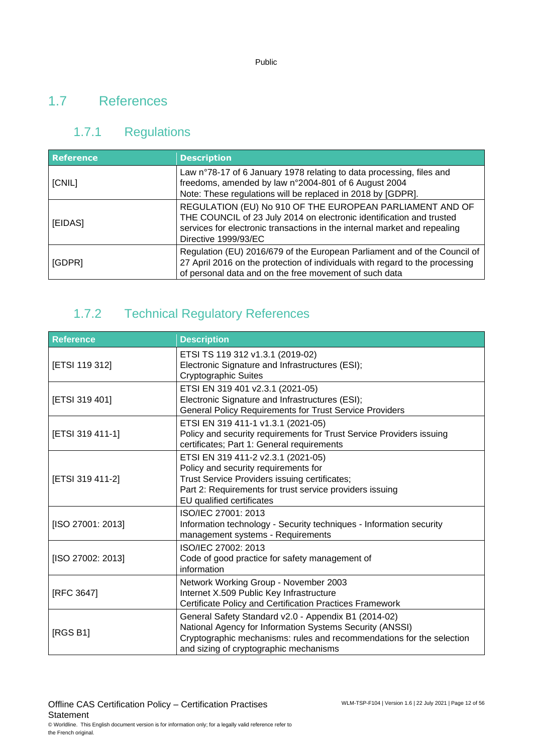### <span id="page-11-0"></span>1.7 References

# 1.7.1 Regulations

| <b>Reference</b> | <b>Description</b>                                                                                                                                                                                                                    |  |
|------------------|---------------------------------------------------------------------------------------------------------------------------------------------------------------------------------------------------------------------------------------|--|
| [CNIL]           | Law n°78-17 of 6 January 1978 relating to data processing, files and<br>freedoms, amended by law n°2004-801 of 6 August 2004<br>Note: These regulations will be replaced in 2018 by [GDPR].                                           |  |
| [EIDAS]          | REGULATION (EU) No 910 OF THE EUROPEAN PARLIAMENT AND OF<br>THE COUNCIL of 23 July 2014 on electronic identification and trusted<br>services for electronic transactions in the internal market and repealing<br>Directive 1999/93/EC |  |
| [GDPR]           | Regulation (EU) 2016/679 of the European Parliament and of the Council of<br>27 April 2016 on the protection of individuals with regard to the processing<br>of personal data and on the free movement of such data                   |  |

# 1.7.2 Technical Regulatory References

| Reference         | <b>Description</b>                                                                                                                                                                                                                  |
|-------------------|-------------------------------------------------------------------------------------------------------------------------------------------------------------------------------------------------------------------------------------|
| [ETSI 119 312]    | ETSI TS 119 312 v1.3.1 (2019-02)<br>Electronic Signature and Infrastructures (ESI);<br>Cryptographic Suites                                                                                                                         |
| [ETSI 319 401]    | ETSI EN 319 401 v2.3.1 (2021-05)<br>Electronic Signature and Infrastructures (ESI);<br><b>General Policy Requirements for Trust Service Providers</b>                                                                               |
| [ETSI 319 411-1]  | ETSI EN 319 411-1 v1.3.1 (2021-05)<br>Policy and security requirements for Trust Service Providers issuing<br>certificates; Part 1: General requirements                                                                            |
| [ETSI 319 411-2]  | ETSI EN 319 411-2 v2.3.1 (2021-05)<br>Policy and security requirements for<br>Trust Service Providers issuing certificates;<br>Part 2: Requirements for trust service providers issuing<br>EU qualified certificates                |
| [ISO 27001: 2013] | ISO/IEC 27001: 2013<br>Information technology - Security techniques - Information security<br>management systems - Requirements                                                                                                     |
| [ISO 27002: 2013] | ISO/IEC 27002: 2013<br>Code of good practice for safety management of<br>information                                                                                                                                                |
| [RFC 3647]        | Network Working Group - November 2003<br>Internet X.509 Public Key Infrastructure<br>Certificate Policy and Certification Practices Framework                                                                                       |
| [RGS B1]          | General Safety Standard v2.0 - Appendix B1 (2014-02)<br>National Agency for Information Systems Security (ANSSI)<br>Cryptographic mechanisms: rules and recommendations for the selection<br>and sizing of cryptographic mechanisms |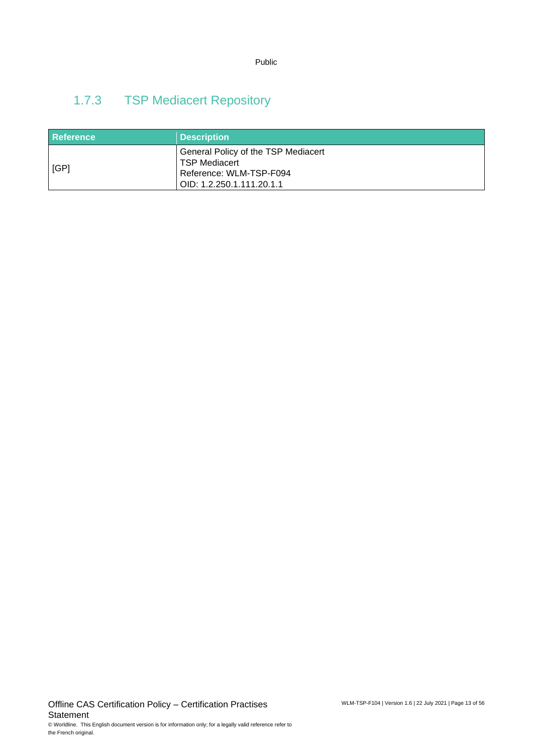# 1.7.3 TSP Mediacert Repository

| <b>Reference</b> | <b>Description</b>                                                                                                  |
|------------------|---------------------------------------------------------------------------------------------------------------------|
| [GP]             | General Policy of the TSP Mediacert<br><b>TSP Mediacert</b><br>Reference: WLM-TSP-F094<br>OID: 1.2.250.1.111.20.1.1 |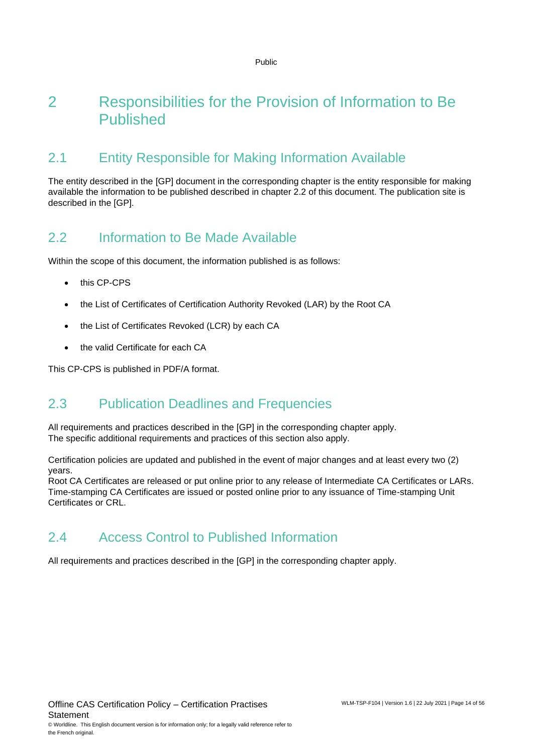# <span id="page-13-0"></span>2 Responsibilities for the Provision of Information to Be Published

### <span id="page-13-1"></span>2.1 Entity Responsible for Making Information Available

The entity described in the [GP] document in the corresponding chapter is the entity responsible for making available the information to be published described in chapter 2.2 of this document. The publication site is described in the [GP].

### <span id="page-13-2"></span>2.2 Information to Be Made Available

Within the scope of this document, the information published is as follows:

- this CP-CPS
- the List of Certificates of Certification Authority Revoked (LAR) by the Root CA
- the List of Certificates Revoked (LCR) by each CA
- the valid Certificate for each CA

<span id="page-13-3"></span>This CP-CPS is published in PDF/A format.

# 2.3 Publication Deadlines and Frequencies

All requirements and practices described in the [GP] in the corresponding chapter apply. The specific additional requirements and practices of this section also apply.

Certification policies are updated and published in the event of major changes and at least every two (2) years.

Root CA Certificates are released or put online prior to any release of Intermediate CA Certificates or LARs. Time-stamping CA Certificates are issued or posted online prior to any issuance of Time-stamping Unit Certificates or CRL.

### <span id="page-13-4"></span>2.4 Access Control to Published Information

All requirements and practices described in the [GP] in the corresponding chapter apply.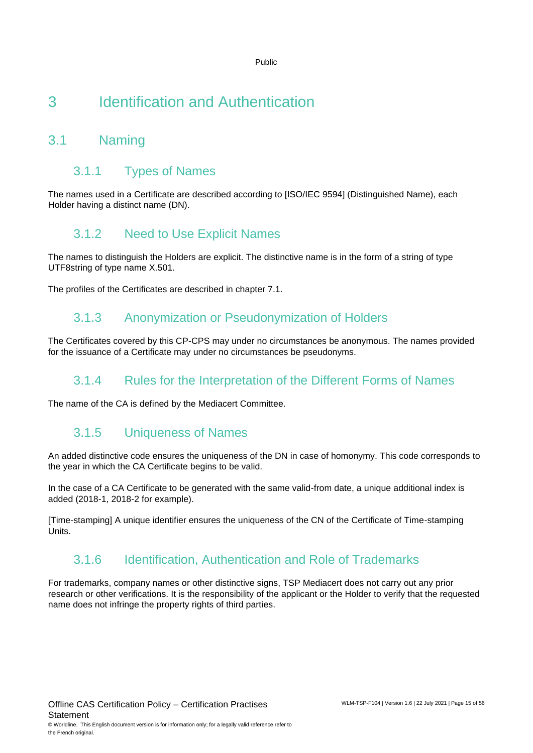# <span id="page-14-0"></span>3 Identification and Authentication

# <span id="page-14-1"></span>3.1 Naming

### 3.1.1 Types of Names

The names used in a Certificate are described according to [ISO/IEC 9594] (Distinguished Name), each Holder having a distinct name (DN).

### 3.1.2 Need to Use Explicit Names

The names to distinguish the Holders are explicit. The distinctive name is in the form of a string of type UTF8string of type name X.501.

The profiles of the Certificates are described in chapter 7.1.

### 3.1.3 Anonymization or Pseudonymization of Holders

The Certificates covered by this CP-CPS may under no circumstances be anonymous. The names provided for the issuance of a Certificate may under no circumstances be pseudonyms.

### 3.1.4 Rules for the Interpretation of the Different Forms of Names

The name of the CA is defined by the Mediacert Committee.

### 3.1.5 Uniqueness of Names

An added distinctive code ensures the uniqueness of the DN in case of homonymy. This code corresponds to the year in which the CA Certificate begins to be valid.

In the case of a CA Certificate to be generated with the same valid-from date, a unique additional index is added (2018-1, 2018-2 for example).

[Time-stamping] A unique identifier ensures the uniqueness of the CN of the Certificate of Time-stamping Units.

### 3.1.6 Identification, Authentication and Role of Trademarks

For trademarks, company names or other distinctive signs, TSP Mediacert does not carry out any prior research or other verifications. It is the responsibility of the applicant or the Holder to verify that the requested name does not infringe the property rights of third parties.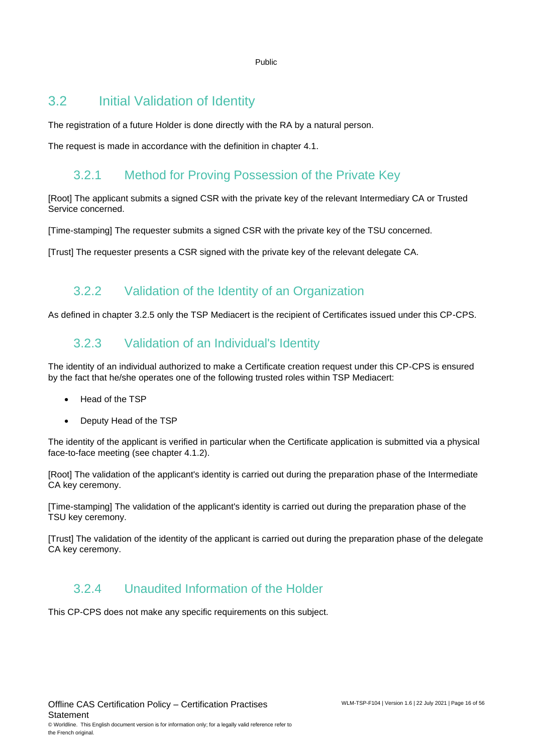### <span id="page-15-0"></span>3.2 Initial Validation of Identity

The registration of a future Holder is done directly with the RA by a natural person.

The request is made in accordance with the definition in chapter 4.1.

### 3.2.1 Method for Proving Possession of the Private Key

[Root] The applicant submits a signed CSR with the private key of the relevant Intermediary CA or Trusted Service concerned.

[Time-stamping] The requester submits a signed CSR with the private key of the TSU concerned.

[Trust] The requester presents a CSR signed with the private key of the relevant delegate CA.

### 3.2.2 Validation of the Identity of an Organization

As defined in chapter 3.2.5 only the TSP Mediacert is the recipient of Certificates issued under this CP-CPS.

### 3.2.3 Validation of an Individual's Identity

The identity of an individual authorized to make a Certificate creation request under this CP-CPS is ensured by the fact that he/she operates one of the following trusted roles within TSP Mediacert:

- Head of the TSP
- Deputy Head of the TSP

The identity of the applicant is verified in particular when the Certificate application is submitted via a physical face-to-face meeting (see chapter 4.1.2).

[Root] The validation of the applicant's identity is carried out during the preparation phase of the Intermediate CA key ceremony.

[Time-stamping] The validation of the applicant's identity is carried out during the preparation phase of the TSU key ceremony.

[Trust] The validation of the identity of the applicant is carried out during the preparation phase of the delegate CA key ceremony.

### 3.2.4 Unaudited Information of the Holder

This CP-CPS does not make any specific requirements on this subject.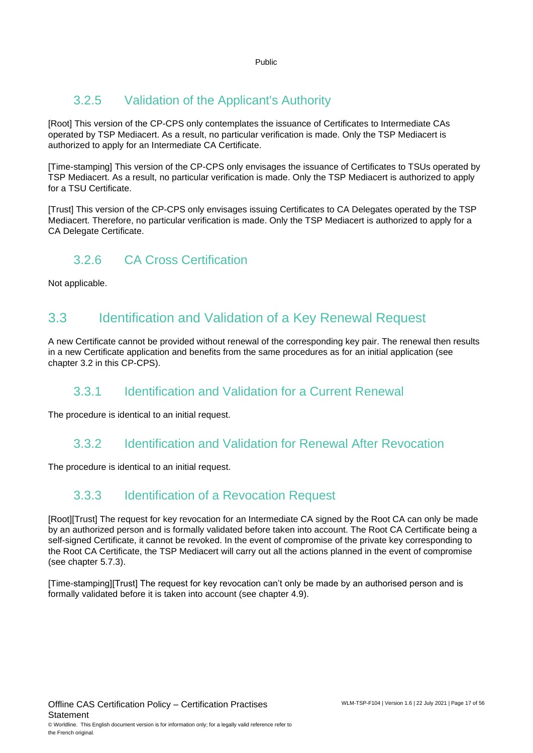# 3.2.5 Validation of the Applicant's Authority

[Root] This version of the CP-CPS only contemplates the issuance of Certificates to Intermediate CAs operated by TSP Mediacert. As a result, no particular verification is made. Only the TSP Mediacert is authorized to apply for an Intermediate CA Certificate.

[Time-stamping] This version of the CP-CPS only envisages the issuance of Certificates to TSUs operated by TSP Mediacert. As a result, no particular verification is made. Only the TSP Mediacert is authorized to apply for a TSU Certificate.

[Trust] This version of the CP-CPS only envisages issuing Certificates to CA Delegates operated by the TSP Mediacert. Therefore, no particular verification is made. Only the TSP Mediacert is authorized to apply for a CA Delegate Certificate.

### 3.2.6 CA Cross Certification

<span id="page-16-0"></span>Not applicable.

# 3.3 Identification and Validation of a Key Renewal Request

A new Certificate cannot be provided without renewal of the corresponding key pair. The renewal then results in a new Certificate application and benefits from the same procedures as for an initial application (see chapter 3.2 in this CP-CPS).

### 3.3.1 Identification and Validation for a Current Renewal

The procedure is identical to an initial request.

### 3.3.2 Identification and Validation for Renewal After Revocation

The procedure is identical to an initial request.

### 3.3.3 Identification of a Revocation Request

[Root][Trust] The request for key revocation for an Intermediate CA signed by the Root CA can only be made by an authorized person and is formally validated before taken into account. The Root CA Certificate being a self-signed Certificate, it cannot be revoked. In the event of compromise of the private key corresponding to the Root CA Certificate, the TSP Mediacert will carry out all the actions planned in the event of compromise (see chapter 5.7.3).

[Time-stamping][Trust] The request for key revocation can't only be made by an authorised person and is formally validated before it is taken into account (see chapter 4.9).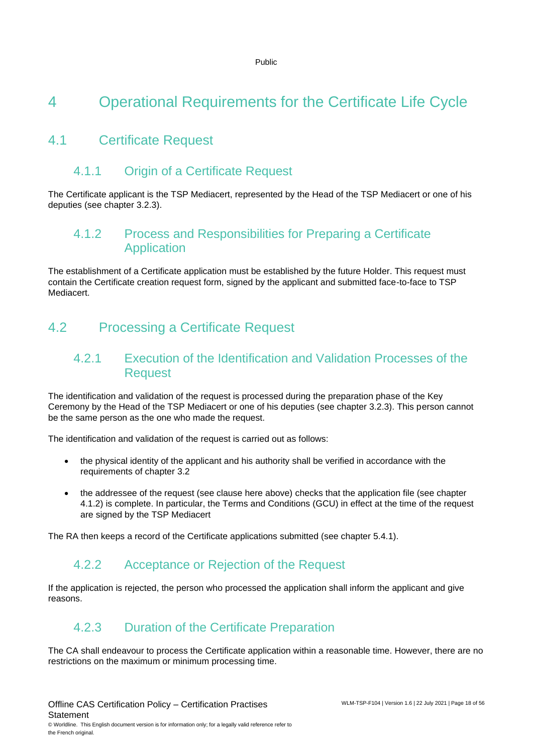# <span id="page-17-0"></span>4 Operational Requirements for the Certificate Life Cycle

# <span id="page-17-1"></span>4.1 Certificate Request

### 4.1.1 Origin of a Certificate Request

The Certificate applicant is the TSP Mediacert, represented by the Head of the TSP Mediacert or one of his deputies (see chapter 3.2.3).

### 4.1.2 Process and Responsibilities for Preparing a Certificate Application

The establishment of a Certificate application must be established by the future Holder. This request must contain the Certificate creation request form, signed by the applicant and submitted face-to-face to TSP Mediacert.

# <span id="page-17-2"></span>4.2 Processing a Certificate Request

### 4.2.1 Execution of the Identification and Validation Processes of the **Request**

The identification and validation of the request is processed during the preparation phase of the Key Ceremony by the Head of the TSP Mediacert or one of his deputies (see chapter 3.2.3). This person cannot be the same person as the one who made the request.

The identification and validation of the request is carried out as follows:

- the physical identity of the applicant and his authority shall be verified in accordance with the requirements of chapter 3.2
- the addressee of the request (see clause here above) checks that the application file (see chapter 4.1.2) is complete. In particular, the Terms and Conditions (GCU) in effect at the time of the request are signed by the TSP Mediacert

The RA then keeps a record of the Certificate applications submitted (see chapter 5.4.1).

### 4.2.2 Acceptance or Rejection of the Request

If the application is rejected, the person who processed the application shall inform the applicant and give reasons.

### 4.2.3 Duration of the Certificate Preparation

The CA shall endeavour to process the Certificate application within a reasonable time. However, there are no restrictions on the maximum or minimum processing time.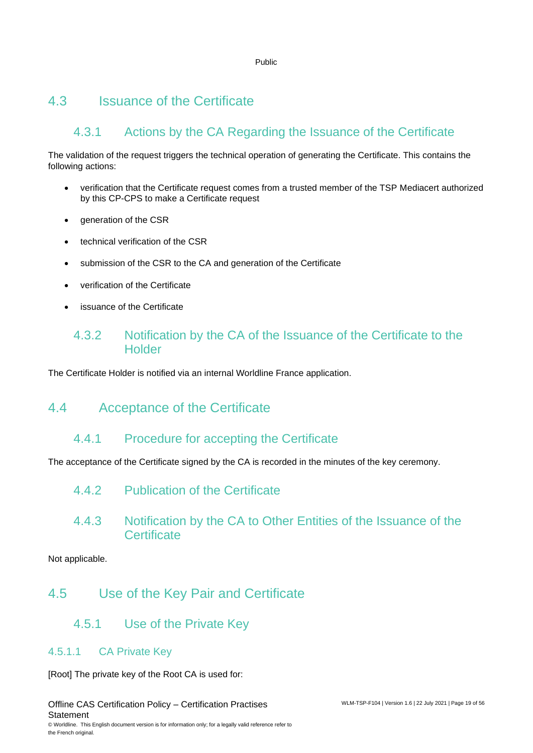### <span id="page-18-0"></span>4.3 Issuance of the Certificate

# 4.3.1 Actions by the CA Regarding the Issuance of the Certificate

The validation of the request triggers the technical operation of generating the Certificate. This contains the following actions:

- verification that the Certificate request comes from a trusted member of the TSP Mediacert authorized by this CP-CPS to make a Certificate request
- generation of the CSR
- technical verification of the CSR
- submission of the CSR to the CA and generation of the Certificate
- verification of the Certificate
- issuance of the Certificate

### 4.3.2 Notification by the CA of the Issuance of the Certificate to the **Holder**

<span id="page-18-1"></span>The Certificate Holder is notified via an internal Worldline France application.

### 4.4 Acceptance of the Certificate

### 4.4.1 Procedure for accepting the Certificate

The acceptance of the Certificate signed by the CA is recorded in the minutes of the key ceremony.

- 4.4.2 Publication of the Certificate
- 4.4.3 Notification by the CA to Other Entities of the Issuance of the **Certificate**

<span id="page-18-2"></span>Not applicable.

### 4.5 Use of the Key Pair and Certificate

4.5.1 Use of the Private Key

### 4.5.1.1 CA Private Key

[Root] The private key of the Root CA is used for:

Offline CAS Certification Policy – Certification Practises **Statement** © Worldline. This English document version is for information only; for a legally valid reference refer to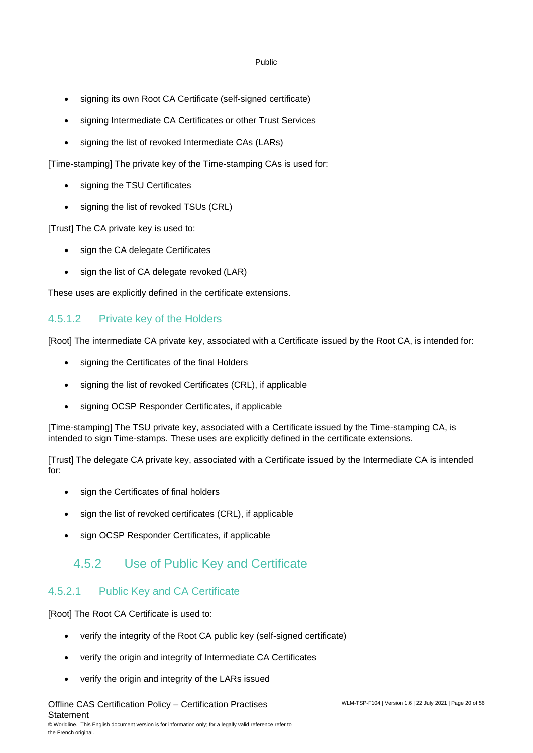- signing its own Root CA Certificate (self-signed certificate)
- signing Intermediate CA Certificates or other Trust Services
- signing the list of revoked Intermediate CAs (LARs)

[Time-stamping] The private key of the Time-stamping CAs is used for:

- signing the TSU Certificates
- signing the list of revoked TSUs (CRL)

[Trust] The CA private key is used to:

- sign the CA delegate Certificates
- sign the list of CA delegate revoked (LAR)

These uses are explicitly defined in the certificate extensions.

### 4.5.1.2 Private key of the Holders

[Root] The intermediate CA private key, associated with a Certificate issued by the Root CA, is intended for:

- signing the Certificates of the final Holders
- signing the list of revoked Certificates (CRL), if applicable
- signing OCSP Responder Certificates, if applicable

[Time-stamping] The TSU private key, associated with a Certificate issued by the Time-stamping CA, is intended to sign Time-stamps. These uses are explicitly defined in the certificate extensions.

[Trust] The delegate CA private key, associated with a Certificate issued by the Intermediate CA is intended for:

- sign the Certificates of final holders
- sign the list of revoked certificates (CRL), if applicable
- sign OCSP Responder Certificates, if applicable

### 4.5.2 Use of Public Key and Certificate

### 4.5.2.1 Public Key and CA Certificate

[Root] The Root CA Certificate is used to:

- verify the integrity of the Root CA public key (self-signed certificate)
- verify the origin and integrity of Intermediate CA Certificates
- verify the origin and integrity of the LARs issued

Offline CAS Certification Policy – Certification Practises **Statement**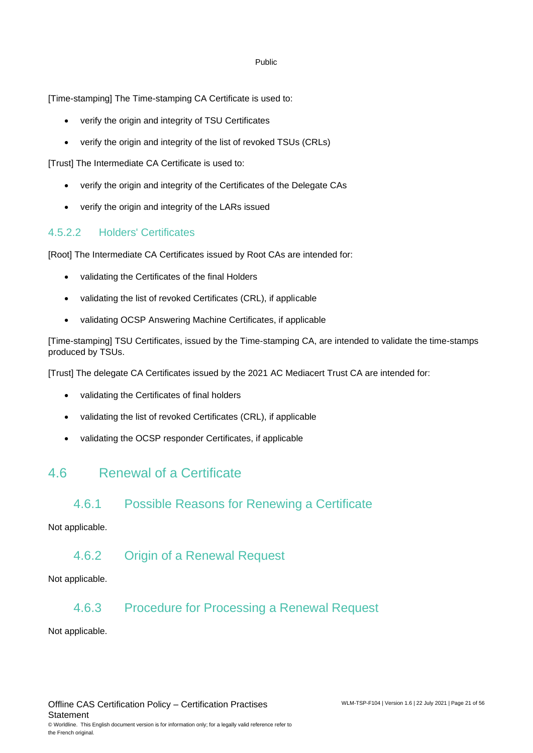[Time-stamping] The Time-stamping CA Certificate is used to:

- verify the origin and integrity of TSU Certificates
- verify the origin and integrity of the list of revoked TSUs (CRLs)

[Trust] The Intermediate CA Certificate is used to:

- verify the origin and integrity of the Certificates of the Delegate CAs
- verify the origin and integrity of the LARs issued

### 4.5.2.2 Holders' Certificates

[Root] The Intermediate CA Certificates issued by Root CAs are intended for:

- validating the Certificates of the final Holders
- validating the list of revoked Certificates (CRL), if applicable
- validating OCSP Answering Machine Certificates, if applicable

[Time-stamping] TSU Certificates, issued by the Time-stamping CA, are intended to validate the time-stamps produced by TSUs.

[Trust] The delegate CA Certificates issued by the 2021 AC Mediacert Trust CA are intended for:

- validating the Certificates of final holders
- validating the list of revoked Certificates (CRL), if applicable
- <span id="page-20-0"></span>• validating the OCSP responder Certificates, if applicable

### 4.6 Renewal of a Certificate

### 4.6.1 Possible Reasons for Renewing a Certificate

#### Not applicable.

### 4.6.2 Origin of a Renewal Request

Not applicable.

### 4.6.3 Procedure for Processing a Renewal Request

Not applicable.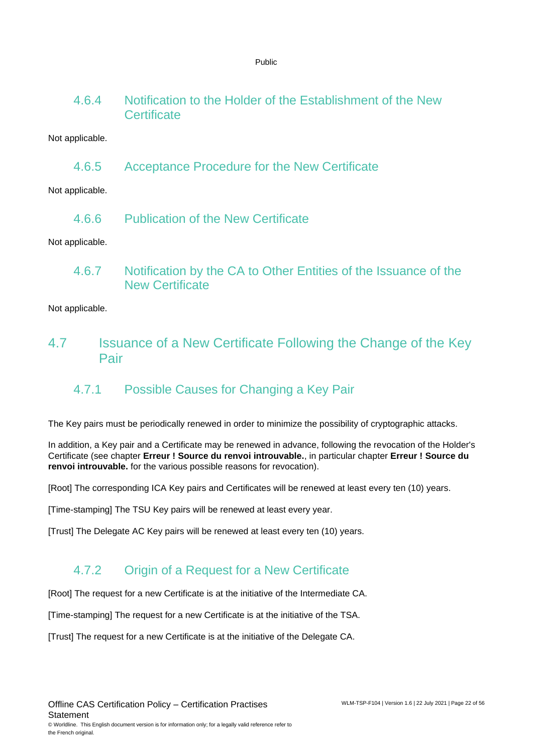4.6.4 Notification to the Holder of the Establishment of the New **Certificate** 

Not applicable.

4.6.5 Acceptance Procedure for the New Certificate

Not applicable.

4.6.6 Publication of the New Certificate

Not applicable.

4.6.7 Notification by the CA to Other Entities of the Issuance of the New Certificate

<span id="page-21-0"></span>Not applicable.

4.7 Issuance of a New Certificate Following the Change of the Key Pair

### 4.7.1 Possible Causes for Changing a Key Pair

The Key pairs must be periodically renewed in order to minimize the possibility of cryptographic attacks.

In addition, a Key pair and a Certificate may be renewed in advance, following the revocation of the Holder's Certificate (see chapter **Erreur ! Source du renvoi introuvable.**, in particular chapter **Erreur ! Source du renvoi introuvable.** for the various possible reasons for revocation).

[Root] The corresponding ICA Key pairs and Certificates will be renewed at least every ten (10) years.

[Time-stamping] The TSU Key pairs will be renewed at least every year.

[Trust] The Delegate AC Key pairs will be renewed at least every ten (10) years.

# 4.7.2 Origin of a Request for a New Certificate

[Root] The request for a new Certificate is at the initiative of the Intermediate CA.

[Time-stamping] The request for a new Certificate is at the initiative of the TSA.

[Trust] The request for a new Certificate is at the initiative of the Delegate CA.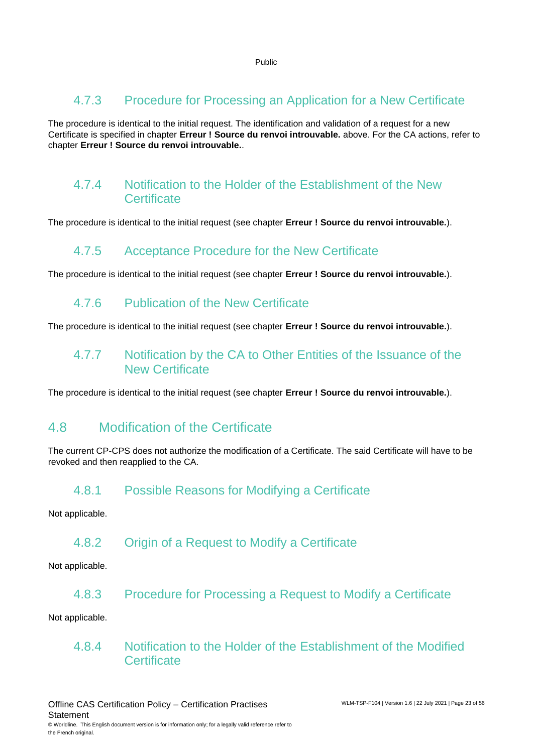### 4.7.3 Procedure for Processing an Application for a New Certificate

The procedure is identical to the initial request. The identification and validation of a request for a new Certificate is specified in chapter **Erreur ! Source du renvoi introuvable.** above. For the CA actions, refer to chapter **Erreur ! Source du renvoi introuvable.**.

### 4.7.4 Notification to the Holder of the Establishment of the New **Certificate**

The procedure is identical to the initial request (see chapter **Erreur ! Source du renvoi introuvable.**).

### 4.7.5 Acceptance Procedure for the New Certificate

The procedure is identical to the initial request (see chapter **Erreur ! Source du renvoi introuvable.**).

### 4.7.6 Publication of the New Certificate

The procedure is identical to the initial request (see chapter **Erreur ! Source du renvoi introuvable.**).

### 4.7.7 Notification by the CA to Other Entities of the Issuance of the New Certificate

<span id="page-22-0"></span>The procedure is identical to the initial request (see chapter **Erreur ! Source du renvoi introuvable.**).

### 4.8 Modification of the Certificate

The current CP-CPS does not authorize the modification of a Certificate. The said Certificate will have to be revoked and then reapplied to the CA.

### 4.8.1 Possible Reasons for Modifying a Certificate

Not applicable.

### 4.8.2 Origin of a Request to Modify a Certificate

Not applicable.

4.8.3 Procedure for Processing a Request to Modify a Certificate

Not applicable.

### 4.8.4 Notification to the Holder of the Establishment of the Modified **Certificate**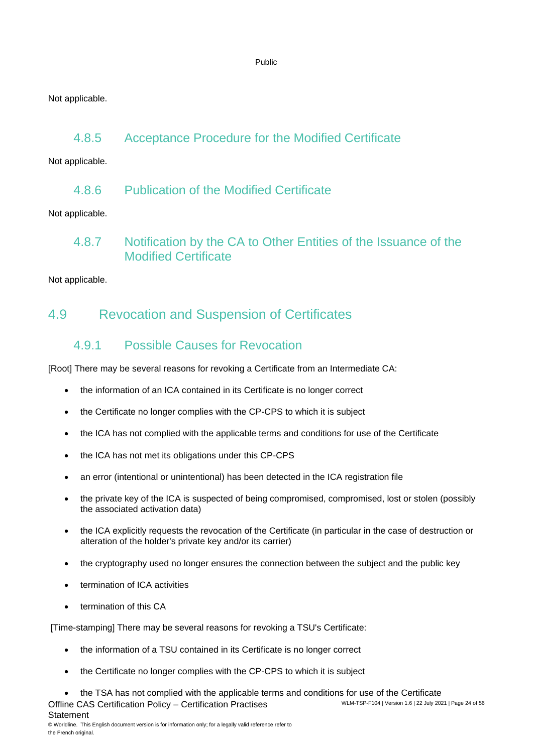Not applicable.

### 4.8.5 Acceptance Procedure for the Modified Certificate

Not applicable.

4.8.6 Publication of the Modified Certificate

Not applicable.

4.8.7 Notification by the CA to Other Entities of the Issuance of the Modified Certificate

<span id="page-23-0"></span>Not applicable.

### 4.9 Revocation and Suspension of Certificates

### 4.9.1 Possible Causes for Revocation

[Root] There may be several reasons for revoking a Certificate from an Intermediate CA:

- the information of an ICA contained in its Certificate is no longer correct
- the Certificate no longer complies with the CP-CPS to which it is subject
- the ICA has not complied with the applicable terms and conditions for use of the Certificate
- the ICA has not met its obligations under this CP-CPS
- an error (intentional or unintentional) has been detected in the ICA registration file
- the private key of the ICA is suspected of being compromised, compromised, lost or stolen (possibly the associated activation data)
- the ICA explicitly requests the revocation of the Certificate (in particular in the case of destruction or alteration of the holder's private key and/or its carrier)
- the cryptography used no longer ensures the connection between the subject and the public key
- termination of ICA activities
- termination of this CA

**Statement** 

[Time-stamping] There may be several reasons for revoking a TSU's Certificate:

- the information of a TSU contained in its Certificate is no longer correct
- the Certificate no longer complies with the CP-CPS to which it is subject
- Offline CAS Certification Policy Certification Practises WLM-TSP-F104 | Version 1.6 | 22 July 2021 | Page 24 of 56 • the TSA has not complied with the applicable terms and conditions for use of the Certificate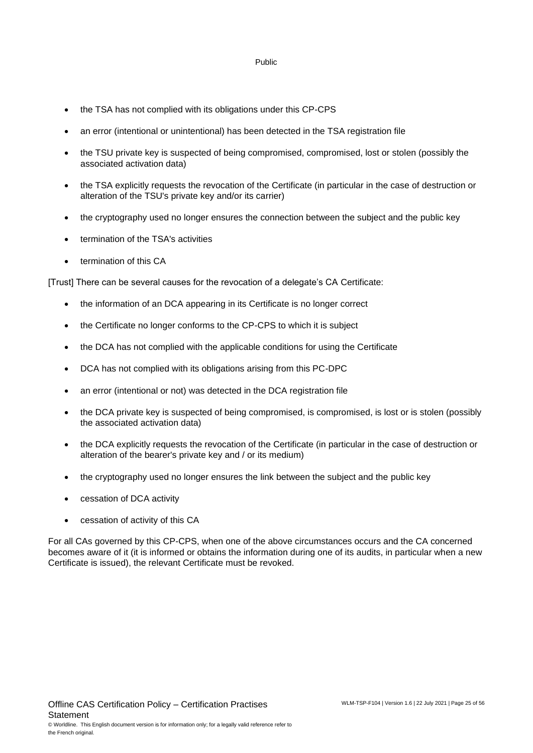- the TSA has not complied with its obligations under this CP-CPS
- an error (intentional or unintentional) has been detected in the TSA registration file
- the TSU private key is suspected of being compromised, compromised, lost or stolen (possibly the associated activation data)
- the TSA explicitly requests the revocation of the Certificate (in particular in the case of destruction or alteration of the TSU's private key and/or its carrier)
- the cryptography used no longer ensures the connection between the subject and the public key
- termination of the TSA's activities
- termination of this CA

[Trust] There can be several causes for the revocation of a delegate's CA Certificate:

- the information of an DCA appearing in its Certificate is no longer correct
- the Certificate no longer conforms to the CP-CPS to which it is subject
- the DCA has not complied with the applicable conditions for using the Certificate
- DCA has not complied with its obligations arising from this PC-DPC
- an error (intentional or not) was detected in the DCA registration file
- the DCA private key is suspected of being compromised, is compromised, is lost or is stolen (possibly the associated activation data)
- the DCA explicitly requests the revocation of the Certificate (in particular in the case of destruction or alteration of the bearer's private key and / or its medium)
- the cryptography used no longer ensures the link between the subject and the public key
- cessation of DCA activity
- cessation of activity of this CA

For all CAs governed by this CP-CPS, when one of the above circumstances occurs and the CA concerned becomes aware of it (it is informed or obtains the information during one of its audits, in particular when a new Certificate is issued), the relevant Certificate must be revoked.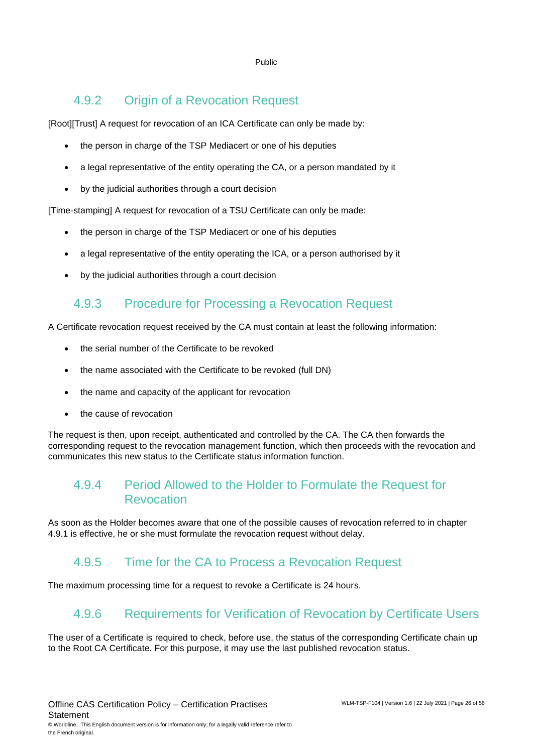### 4.9.2 Origin of a Revocation Request

[Root][Trust] A request for revocation of an ICA Certificate can only be made by:

- the person in charge of the TSP Mediacert or one of his deputies
- a legal representative of the entity operating the CA, or a person mandated by it
- by the judicial authorities through a court decision

[Time-stamping] A request for revocation of a TSU Certificate can only be made:

- the person in charge of the TSP Mediacert or one of his deputies
- a legal representative of the entity operating the ICA, or a person authorised by it
- by the judicial authorities through a court decision

### 4.9.3 Procedure for Processing a Revocation Request

A Certificate revocation request received by the CA must contain at least the following information:

- the serial number of the Certificate to be revoked
- the name associated with the Certificate to be revoked (full DN)
- the name and capacity of the applicant for revocation
- the cause of revocation

The request is then, upon receipt, authenticated and controlled by the CA. The CA then forwards the corresponding request to the revocation management function, which then proceeds with the revocation and communicates this new status to the Certificate status information function.

### 4.9.4 Period Allowed to the Holder to Formulate the Request for Revocation

As soon as the Holder becomes aware that one of the possible causes of revocation referred to in chapter 4.9.1 is effective, he or she must formulate the revocation request without delay.

### 4.9.5 Time for the CA to Process a Revocation Request

The maximum processing time for a request to revoke a Certificate is 24 hours.

### 4.9.6 Requirements for Verification of Revocation by Certificate Users

The user of a Certificate is required to check, before use, the status of the corresponding Certificate chain up to the Root CA Certificate. For this purpose, it may use the last published revocation status.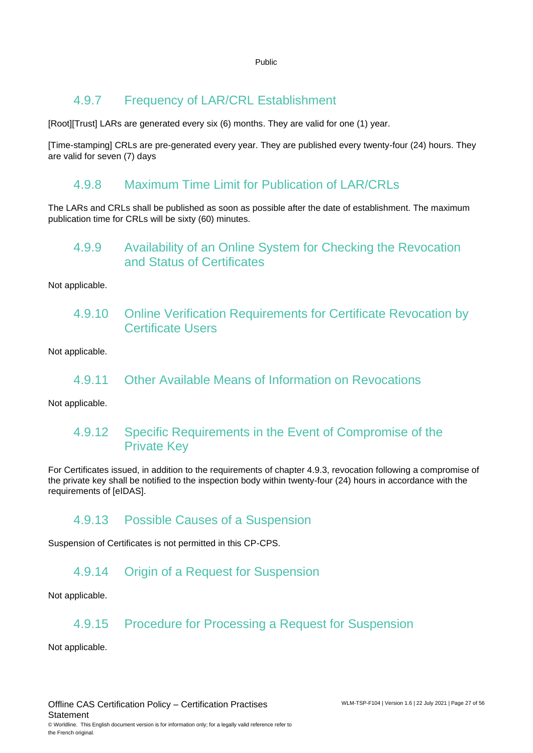### 4.9.7 Frequency of LAR/CRL Establishment

[Root][Trust] LARs are generated every six (6) months. They are valid for one (1) year.

[Time-stamping] CRLs are pre-generated every year. They are published every twenty-four (24) hours. They are valid for seven (7) days

### 4.9.8 Maximum Time Limit for Publication of LAR/CRLs

The LARs and CRLs shall be published as soon as possible after the date of establishment. The maximum publication time for CRLs will be sixty (60) minutes.

### 4.9.9 Availability of an Online System for Checking the Revocation and Status of Certificates

Not applicable.

4.9.10 Online Verification Requirements for Certificate Revocation by Certificate Users

Not applicable.

4.9.11 Other Available Means of Information on Revocations

Not applicable.

### 4.9.12 Specific Requirements in the Event of Compromise of the Private Key

For Certificates issued, in addition to the requirements of chapter 4.9.3, revocation following a compromise of the private key shall be notified to the inspection body within twenty-four (24) hours in accordance with the requirements of [eIDAS].

### 4.9.13 Possible Causes of a Suspension

Suspension of Certificates is not permitted in this CP-CPS.

### 4.9.14 Origin of a Request for Suspension

Not applicable.

### 4.9.15 Procedure for Processing a Request for Suspension

Not applicable.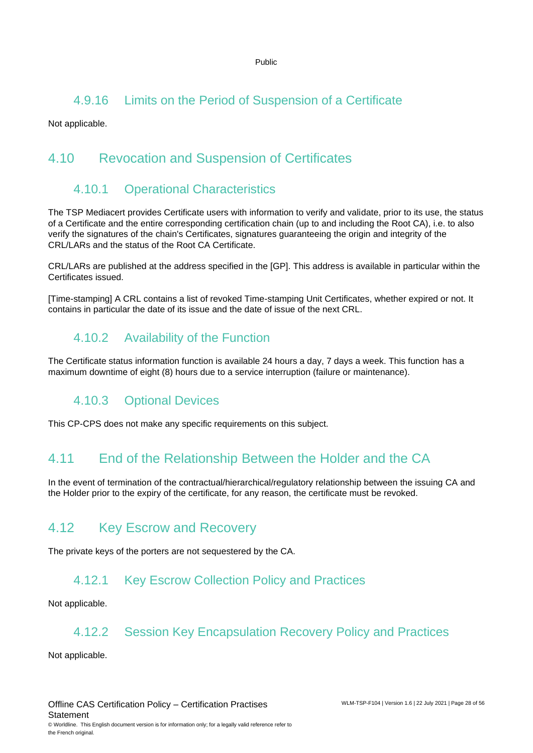### 4.9.16 Limits on the Period of Suspension of a Certificate

<span id="page-27-0"></span>Not applicable.

# 4.10 Revocation and Suspension of Certificates

### 4.10.1 Operational Characteristics

The TSP Mediacert provides Certificate users with information to verify and validate, prior to its use, the status of a Certificate and the entire corresponding certification chain (up to and including the Root CA), i.e. to also verify the signatures of the chain's Certificates, signatures guaranteeing the origin and integrity of the CRL/LARs and the status of the Root CA Certificate.

CRL/LARs are published at the address specified in the [GP]. This address is available in particular within the Certificates issued.

[Time-stamping] A CRL contains a list of revoked Time-stamping Unit Certificates, whether expired or not. It contains in particular the date of its issue and the date of issue of the next CRL.

# 4.10.2 Availability of the Function

The Certificate status information function is available 24 hours a day, 7 days a week. This function has a maximum downtime of eight (8) hours due to a service interruption (failure or maintenance).

# 4.10.3 Optional Devices

<span id="page-27-1"></span>This CP-CPS does not make any specific requirements on this subject.

# 4.11 End of the Relationship Between the Holder and the CA

In the event of termination of the contractual/hierarchical/regulatory relationship between the issuing CA and the Holder prior to the expiry of the certificate, for any reason, the certificate must be revoked.

# <span id="page-27-2"></span>4.12 Key Escrow and Recovery

The private keys of the porters are not sequestered by the CA.

### 4.12.1 Key Escrow Collection Policy and Practices

Not applicable.

### 4.12.2 Session Key Encapsulation Recovery Policy and Practices

Not applicable.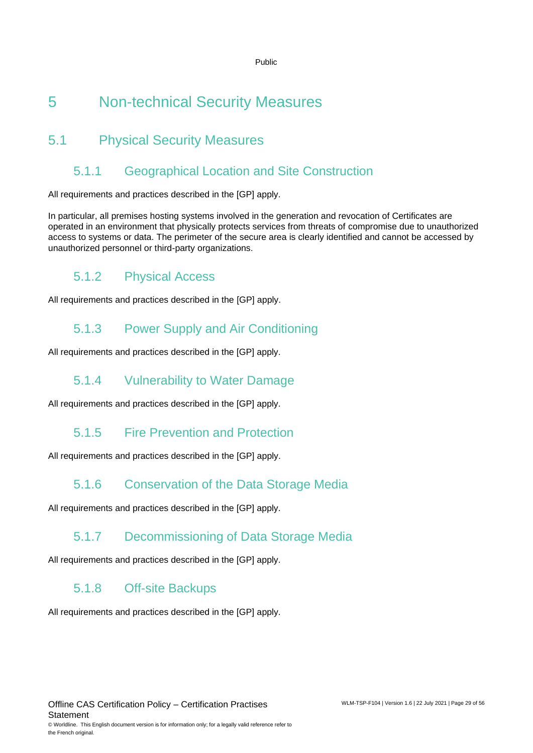# <span id="page-28-0"></span>5 Non-technical Security Measures

# <span id="page-28-1"></span>5.1 Physical Security Measures

### 5.1.1 Geographical Location and Site Construction

All requirements and practices described in the [GP] apply.

In particular, all premises hosting systems involved in the generation and revocation of Certificates are operated in an environment that physically protects services from threats of compromise due to unauthorized access to systems or data. The perimeter of the secure area is clearly identified and cannot be accessed by unauthorized personnel or third-party organizations.

# 5.1.2 Physical Access

All requirements and practices described in the [GP] apply.

### 5.1.3 Power Supply and Air Conditioning

All requirements and practices described in the [GP] apply.

### 5.1.4 Vulnerability to Water Damage

All requirements and practices described in the [GP] apply.

### 5.1.5 Fire Prevention and Protection

All requirements and practices described in the [GP] apply.

### 5.1.6 Conservation of the Data Storage Media

All requirements and practices described in the [GP] apply.

### 5.1.7 Decommissioning of Data Storage Media

All requirements and practices described in the [GP] apply.

### 5.1.8 Off-site Backups

All requirements and practices described in the [GP] apply.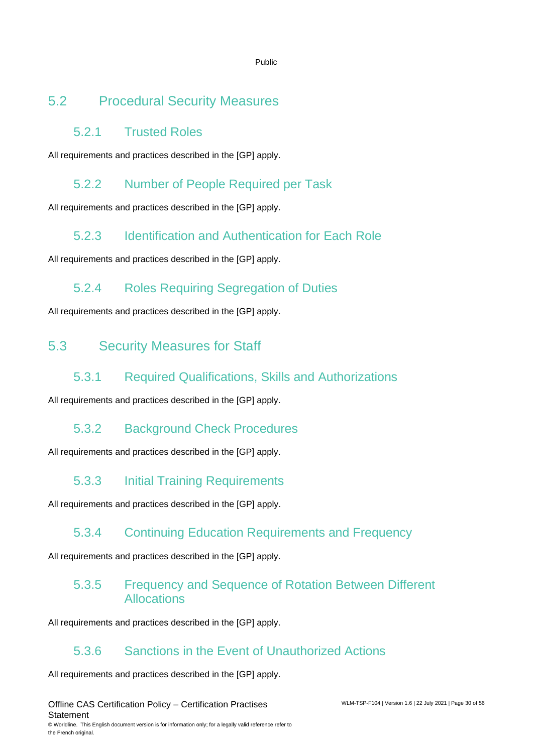# <span id="page-29-0"></span>5.2 Procedural Security Measures

### 5.2.1 Trusted Roles

All requirements and practices described in the [GP] apply.

# 5.2.2 Number of People Required per Task

All requirements and practices described in the [GP] apply.

# 5.2.3 Identification and Authentication for Each Role

All requirements and practices described in the [GP] apply.

# 5.2.4 Roles Requiring Segregation of Duties

<span id="page-29-1"></span>All requirements and practices described in the [GP] apply.

# 5.3 Security Measures for Staff

### 5.3.1 Required Qualifications, Skills and Authorizations

All requirements and practices described in the [GP] apply.

### 5.3.2 Background Check Procedures

All requirements and practices described in the [GP] apply.

# 5.3.3 Initial Training Requirements

All requirements and practices described in the [GP] apply.

### 5.3.4 Continuing Education Requirements and Frequency

All requirements and practices described in the [GP] apply.

### 5.3.5 Frequency and Sequence of Rotation Between Different Allocations

All requirements and practices described in the [GP] apply.

# 5.3.6 Sanctions in the Event of Unauthorized Actions

All requirements and practices described in the [GP] apply.

Offline CAS Certification Policy – Certification Practises **Statement** © Worldline. This English document version is for information only; for a legally valid reference refer to the French original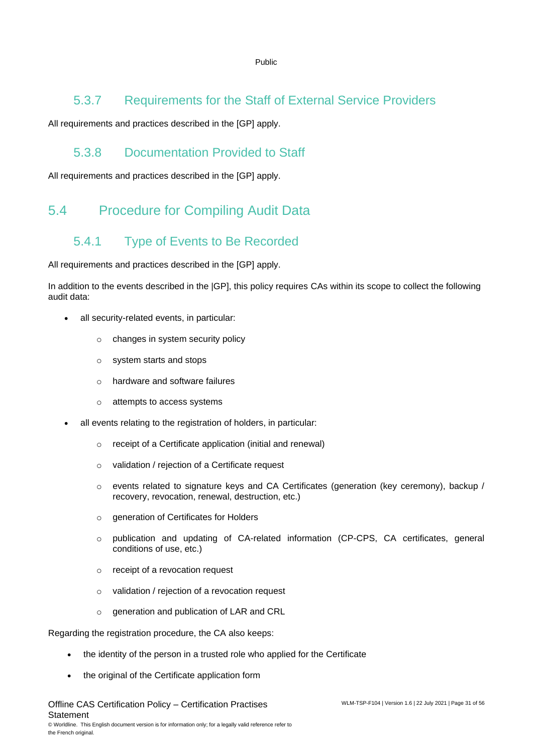### 5.3.7 Requirements for the Staff of External Service Providers

All requirements and practices described in the [GP] apply.

### 5.3.8 Documentation Provided to Staff

<span id="page-30-0"></span>All requirements and practices described in the [GP] apply.

# <span id="page-30-1"></span>5.4 Procedure for Compiling Audit Data

# 5.4.1 Type of Events to Be Recorded

All requirements and practices described in the [GP] apply.

In addition to the events described in the |GP], this policy requires CAs within its scope to collect the following audit data:

- all security-related events, in particular:
	- o changes in system security policy
	- o system starts and stops
	- o hardware and software failures
	- o attempts to access systems
- all events relating to the registration of holders, in particular:
	- o receipt of a Certificate application (initial and renewal)
	- o validation / rejection of a Certificate request
	- $\circ$  events related to signature keys and CA Certificates (generation (key ceremony), backup / recovery, revocation, renewal, destruction, etc.)
	- o generation of Certificates for Holders
	- o publication and updating of CA-related information (CP-CPS, CA certificates, general conditions of use, etc.)
	- o receipt of a revocation request
	- o validation / rejection of a revocation request
	- o generation and publication of LAR and CRL

Regarding the registration procedure, the CA also keeps:

- the identity of the person in a trusted role who applied for the Certificate
- the original of the Certificate application form

Offline CAS Certification Policy – Certification Practises **Statement** © Worldline. This English document version is for information only; for a legally valid reference refer to the French original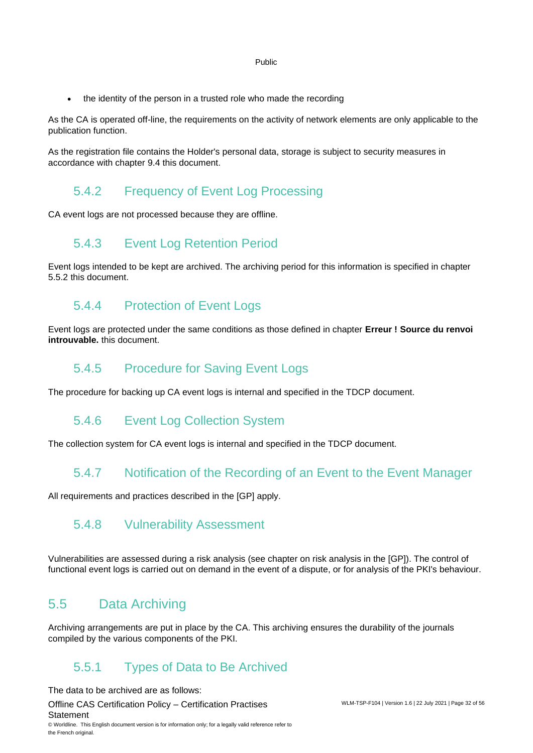• the identity of the person in a trusted role who made the recording

As the CA is operated off-line, the requirements on the activity of network elements are only applicable to the publication function.

As the registration file contains the Holder's personal data, storage is subject to security measures in accordance with chapter [9.4](#page-51-0) this document.

### 5.4.2 Frequency of Event Log Processing

CA event logs are not processed because they are offline.

### 5.4.3 Event Log Retention Period

Event logs intended to be kept are archived. The archiving period for this information is specified in chapter [5.5.2](#page-32-0) this document.

### 5.4.4 Protection of Event Logs

Event logs are protected under the same conditions as those defined in chapter **Erreur ! Source du renvoi introuvable.** this document.

### 5.4.5 Procedure for Saving Event Logs

The procedure for backing up CA event logs is internal and specified in the TDCP document.

### 5.4.6 Event Log Collection System

The collection system for CA event logs is internal and specified in the TDCP document.

### 5.4.7 Notification of the Recording of an Event to the Event Manager

All requirements and practices described in the [GP] apply.

### 5.4.8 Vulnerability Assessment

<span id="page-31-0"></span>Vulnerabilities are assessed during a risk analysis (see chapter on risk analysis in the [GP]). The control of functional event logs is carried out on demand in the event of a dispute, or for analysis of the PKI's behaviour.

### 5.5 Data Archiving

Archiving arrangements are put in place by the CA. This archiving ensures the durability of the journals compiled by the various components of the PKI.

### 5.5.1 Types of Data to Be Archived

The data to be archived are as follows:

Offline CAS Certification Policy – Certification Practises **Statement** © Worldline. This English document version is for information only; for a legally valid reference refer to the French original.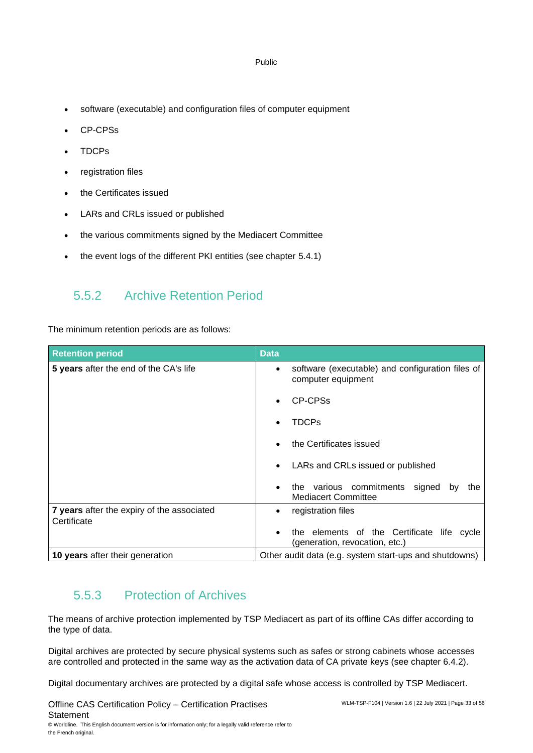- software (executable) and configuration files of computer equipment
- CP-CPSs
- TDCPs
- registration files
- the Certificates issued
- LARs and CRLs issued or published
- the various commitments signed by the Mediacert Committee
- <span id="page-32-0"></span>the event logs of the different PKI entities (see chapter [5.4.1\)](#page-30-1)

### 5.5.2 Archive Retention Period

The minimum retention periods are as follows:

| <b>Retention period</b>                                   | <b>Data</b>                                                                         |
|-----------------------------------------------------------|-------------------------------------------------------------------------------------|
| 5 years after the end of the CA's life                    | software (executable) and configuration files of<br>$\bullet$<br>computer equipment |
|                                                           | CP-CPSs                                                                             |
|                                                           | <b>TDCPs</b>                                                                        |
|                                                           | the Certificates issued<br>$\bullet$                                                |
|                                                           | LARs and CRLs issued or published<br>$\bullet$                                      |
|                                                           | the various commitments signed by<br>the<br>$\bullet$<br><b>Mediacert Committee</b> |
| 7 years after the expiry of the associated<br>Certificate | registration files<br>٠                                                             |
|                                                           | the elements of the Certificate life cycle<br>(generation, revocation, etc.)        |
| 10 years after their generation                           | Other audit data (e.g. system start-ups and shutdowns)                              |

### 5.5.3 Protection of Archives

The means of archive protection implemented by TSP Mediacert as part of its offline CAs differ according to the type of data.

Digital archives are protected by secure physical systems such as safes or strong cabinets whose accesses are controlled and protected in the same way as the activation data of CA private keys (see chapter 6.4.2).

Digital documentary archives are protected by a digital safe whose access is controlled by TSP Mediacert.

Offline CAS Certification Policy – Certification Practises **Statement** © Worldline. This English document version is for information only; for a legally valid reference refer to

the French original.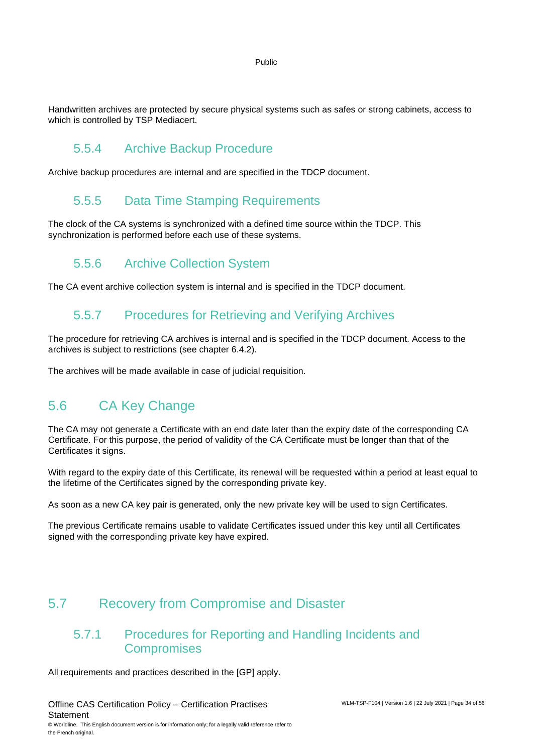Handwritten archives are protected by secure physical systems such as safes or strong cabinets, access to which is controlled by TSP Mediacert.

### 5.5.4 Archive Backup Procedure

Archive backup procedures are internal and are specified in the TDCP document.

### 5.5.5 Data Time Stamping Requirements

The clock of the CA systems is synchronized with a defined time source within the TDCP. This synchronization is performed before each use of these systems.

### 5.5.6 Archive Collection System

The CA event archive collection system is internal and is specified in the TDCP document.

### 5.5.7 Procedures for Retrieving and Verifying Archives

The procedure for retrieving CA archives is internal and is specified in the TDCP document. Access to the archives is subject to restrictions (see chapter 6.4.2).

<span id="page-33-0"></span>The archives will be made available in case of judicial requisition.

# 5.6 CA Key Change

The CA may not generate a Certificate with an end date later than the expiry date of the corresponding CA Certificate. For this purpose, the period of validity of the CA Certificate must be longer than that of the Certificates it signs.

With regard to the expiry date of this Certificate, its renewal will be requested within a period at least equal to the lifetime of the Certificates signed by the corresponding private key.

As soon as a new CA key pair is generated, only the new private key will be used to sign Certificates.

The previous Certificate remains usable to validate Certificates issued under this key until all Certificates signed with the corresponding private key have expired.

### <span id="page-33-1"></span>5.7 Recovery from Compromise and Disaster

### 5.7.1 Procedures for Reporting and Handling Incidents and **Compromises**

All requirements and practices described in the [GP] apply.

Offline CAS Certification Policy – Certification Practises **Statement** © Worldline. This English document version is for information only; for a legally valid reference refer to

the French original.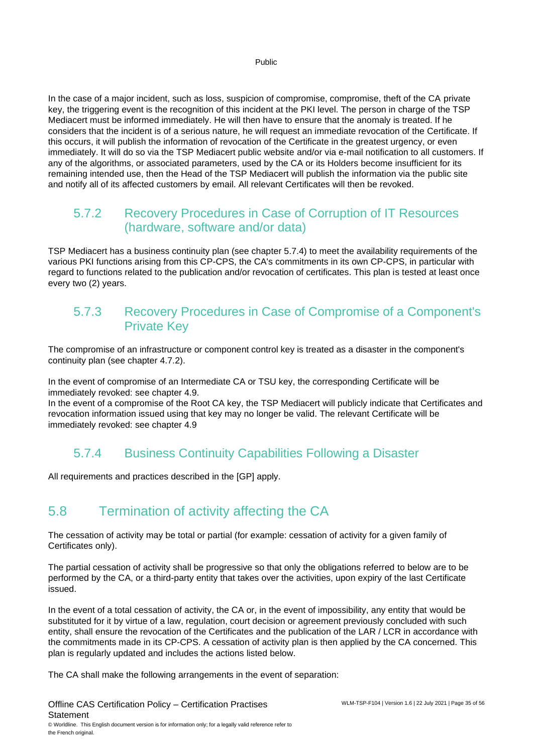In the case of a major incident, such as loss, suspicion of compromise, compromise, theft of the CA private key, the triggering event is the recognition of this incident at the PKI level. The person in charge of the TSP Mediacert must be informed immediately. He will then have to ensure that the anomaly is treated. If he considers that the incident is of a serious nature, he will request an immediate revocation of the Certificate. If this occurs, it will publish the information of revocation of the Certificate in the greatest urgency, or even immediately. It will do so via the TSP Mediacert public website and/or via e-mail notification to all customers. If any of the algorithms, or associated parameters, used by the CA or its Holders become insufficient for its remaining intended use, then the Head of the TSP Mediacert will publish the information via the public site and notify all of its affected customers by email. All relevant Certificates will then be revoked.

### 5.7.2 Recovery Procedures in Case of Corruption of IT Resources (hardware, software and/or data)

TSP Mediacert has a business continuity plan (see chapter 5.7.4) to meet the availability requirements of the various PKI functions arising from this CP-CPS, the CA's commitments in its own CP-CPS, in particular with regard to functions related to the publication and/or revocation of certificates. This plan is tested at least once every two (2) years.

### 5.7.3 Recovery Procedures in Case of Compromise of a Component's Private Key

The compromise of an infrastructure or component control key is treated as a disaster in the component's continuity plan (see chapter 4.7.2).

In the event of compromise of an Intermediate CA or TSU key, the corresponding Certificate will be immediately revoked: see chapter 4.9.

In the event of a compromise of the Root CA key, the TSP Mediacert will publicly indicate that Certificates and revocation information issued using that key may no longer be valid. The relevant Certificate will be immediately revoked: see chapter 4.9

### 5.7.4 Business Continuity Capabilities Following a Disaster

<span id="page-34-0"></span>All requirements and practices described in the [GP] apply.

# 5.8 Termination of activity affecting the CA

The cessation of activity may be total or partial (for example: cessation of activity for a given family of Certificates only).

The partial cessation of activity shall be progressive so that only the obligations referred to below are to be performed by the CA, or a third-party entity that takes over the activities, upon expiry of the last Certificate issued.

In the event of a total cessation of activity, the CA or, in the event of impossibility, any entity that would be substituted for it by virtue of a law, regulation, court decision or agreement previously concluded with such entity, shall ensure the revocation of the Certificates and the publication of the LAR / LCR in accordance with the commitments made in its CP-CPS. A cessation of activity plan is then applied by the CA concerned. This plan is regularly updated and includes the actions listed below.

The CA shall make the following arrangements in the event of separation:

Offline CAS Certification Policy – Certification Practises **Statement** © Worldline. This English document version is for information only; for a legally valid reference refer to the French original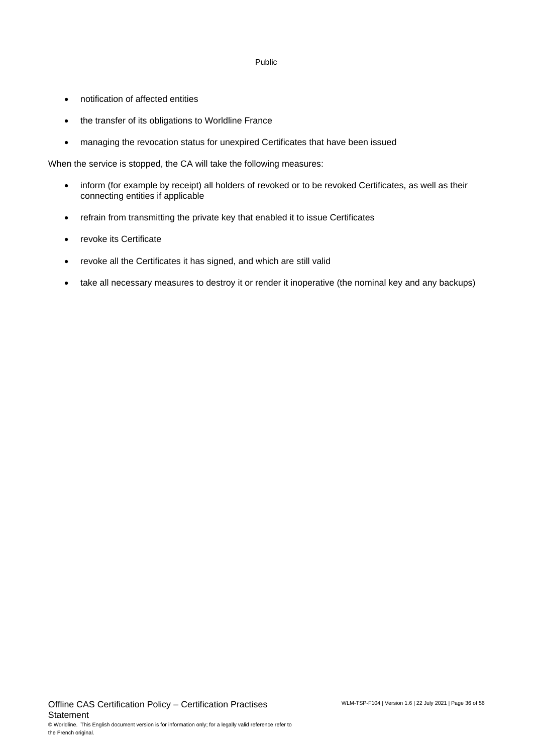- notification of affected entities
- the transfer of its obligations to Worldline France
- managing the revocation status for unexpired Certificates that have been issued

When the service is stopped, the CA will take the following measures:

- inform (for example by receipt) all holders of revoked or to be revoked Certificates, as well as their connecting entities if applicable
- refrain from transmitting the private key that enabled it to issue Certificates
- revoke its Certificate
- revoke all the Certificates it has signed, and which are still valid
- take all necessary measures to destroy it or render it inoperative (the nominal key and any backups)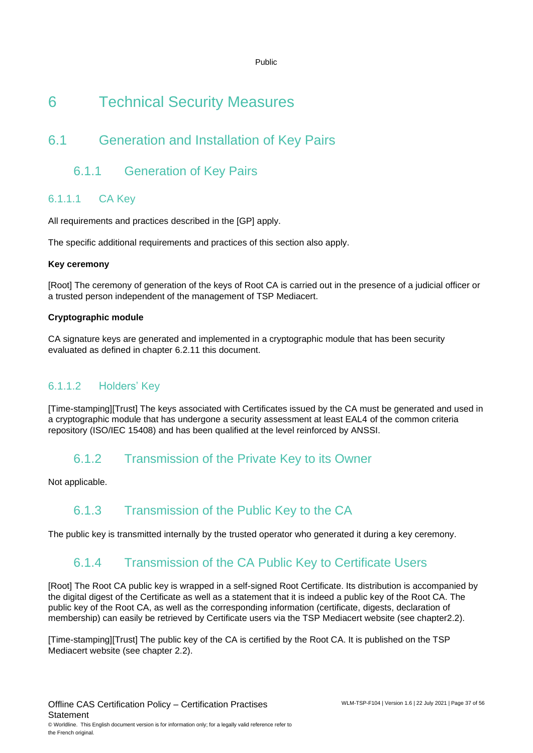# <span id="page-36-0"></span>6 Technical Security Measures

# <span id="page-36-1"></span>6.1 Generation and Installation of Key Pairs

### 6.1.1 Generation of Key Pairs

### 6.1.1.1 CA Key

All requirements and practices described in the [GP] apply.

The specific additional requirements and practices of this section also apply.

#### **Key ceremony**

[Root] The ceremony of generation of the keys of Root CA is carried out in the presence of a judicial officer or a trusted person independent of the management of TSP Mediacert.

#### **Cryptographic module**

CA signature keys are generated and implemented in a cryptographic module that has been security evaluated as defined in chapter [6.2.11](#page-39-1) this document.

### 6.1.1.2 Holders' Key

[Time-stamping][Trust] The keys associated with Certificates issued by the CA must be generated and used in a cryptographic module that has undergone a security assessment at least EAL4 of the common criteria repository (ISO/IEC 15408) and has been qualified at the level reinforced by ANSSI.

### 6.1.2 Transmission of the Private Key to its Owner

Not applicable.

### 6.1.3 Transmission of the Public Key to the CA

The public key is transmitted internally by the trusted operator who generated it during a key ceremony.

### 6.1.4 Transmission of the CA Public Key to Certificate Users

[Root] The Root CA public key is wrapped in a self-signed Root Certificate. Its distribution is accompanied by the digital digest of the Certificate as well as a statement that it is indeed a public key of the Root CA. The public key of the Root CA, as well as the corresponding information (certificate, digests, declaration of membership) can easily be retrieved by Certificate users via the TSP Mediacert website (see chapter2.2).

[Time-stamping][Trust] The public key of the CA is certified by the Root CA. It is published on the TSP Mediacert website (see chapter 2.2).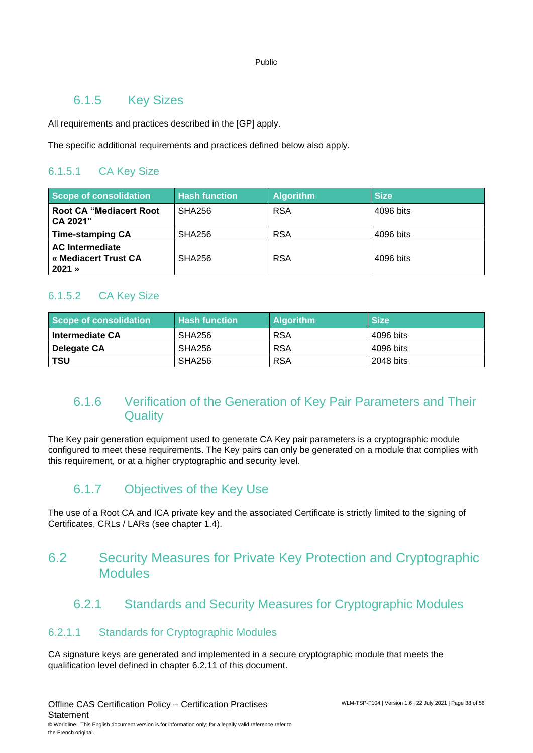### 6.1.5 Key Sizes

All requirements and practices described in the [GP] apply.

The specific additional requirements and practices defined below also apply.

### 6.1.5.1 CA Key Size

| <b>Scope of consolidation</b>                              | <b>Hash function</b> | <b>Algorithm</b> | <b>Size</b> |
|------------------------------------------------------------|----------------------|------------------|-------------|
| <b>Root CA "Mediacert Root</b><br>CA 2021"                 | <b>SHA256</b>        | <b>RSA</b>       | 4096 bits   |
| <b>Time-stamping CA</b>                                    | <b>SHA256</b>        | <b>RSA</b>       | 4096 bits   |
| <b>AC</b> Intermediate<br>« Mediacert Trust CA<br>$2021$ » | <b>SHA256</b>        | <b>RSA</b>       | 4096 bits   |

### 6.1.5.2 CA Key Size

| Scope of consolidation | <b>Hash function</b> | <b>Algorithm</b> | <b>Size</b> |
|------------------------|----------------------|------------------|-------------|
| <b>Intermediate CA</b> | SHA256               | <b>RSA</b>       | 4096 bits   |
| Delegate CA            | SHA256               | <b>RSA</b>       | 4096 bits   |
| ∣ TSU                  | SHA256               | <b>RSA</b>       | 2048 bits   |

### 6.1.6 Verification of the Generation of Key Pair Parameters and Their **Quality**

The Key pair generation equipment used to generate CA Key pair parameters is a cryptographic module configured to meet these requirements. The Key pairs can only be generated on a module that complies with this requirement, or at a higher cryptographic and security level.

### 6.1.7 Objectives of the Key Use

<span id="page-37-0"></span>The use of a Root CA and ICA private key and the associated Certificate is strictly limited to the signing of Certificates, CRLs / LARs (see chapter 1.4).

### 6.2 Security Measures for Private Key Protection and Cryptographic Modules

### 6.2.1 Standards and Security Measures for Cryptographic Modules

### 6.2.1.1 Standards for Cryptographic Modules

CA signature keys are generated and implemented in a secure cryptographic module that meets the qualification level defined in chapter 6.2.11 of this document.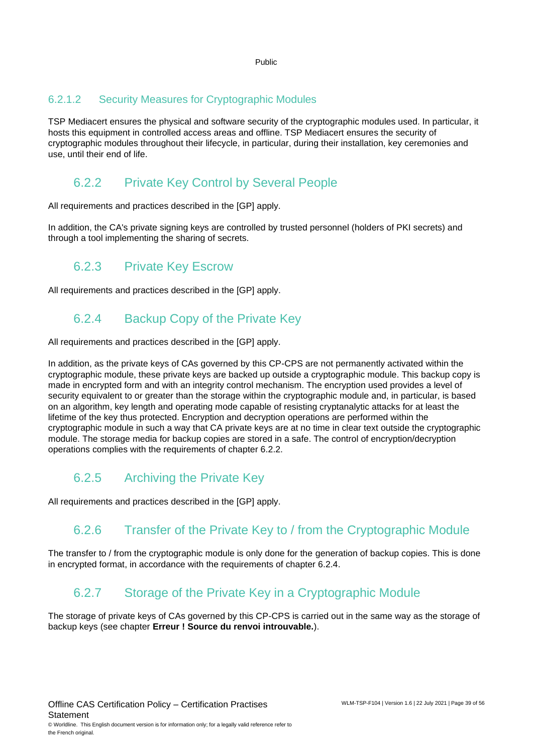### 6.2.1.2 Security Measures for Cryptographic Modules

TSP Mediacert ensures the physical and software security of the cryptographic modules used. In particular, it hosts this equipment in controlled access areas and offline. TSP Mediacert ensures the security of cryptographic modules throughout their lifecycle, in particular, during their installation, key ceremonies and use, until their end of life.

### 6.2.2 Private Key Control by Several People

All requirements and practices described in the [GP] apply.

In addition, the CA's private signing keys are controlled by trusted personnel (holders of PKI secrets) and through a tool implementing the sharing of secrets.

### 6.2.3 Private Key Escrow

All requirements and practices described in the [GP] apply.

### 6.2.4 Backup Copy of the Private Key

All requirements and practices described in the [GP] apply.

In addition, as the private keys of CAs governed by this CP-CPS are not permanently activated within the cryptographic module, these private keys are backed up outside a cryptographic module. This backup copy is made in encrypted form and with an integrity control mechanism. The encryption used provides a level of security equivalent to or greater than the storage within the cryptographic module and, in particular, is based on an algorithm, key length and operating mode capable of resisting cryptanalytic attacks for at least the lifetime of the key thus protected. Encryption and decryption operations are performed within the cryptographic module in such a way that CA private keys are at no time in clear text outside the cryptographic module. The storage media for backup copies are stored in a safe. The control of encryption/decryption operations complies with the requirements of chapter 6.2.2.

### 6.2.5 Archiving the Private Key

All requirements and practices described in the [GP] apply.

### 6.2.6 Transfer of the Private Key to / from the Cryptographic Module

The transfer to / from the cryptographic module is only done for the generation of backup copies. This is done in encrypted format, in accordance with the requirements of chapter 6.2.4.

### 6.2.7 Storage of the Private Key in a Cryptographic Module

The storage of private keys of CAs governed by this CP-CPS is carried out in the same way as the storage of backup keys (see chapter **Erreur ! Source du renvoi introuvable.**).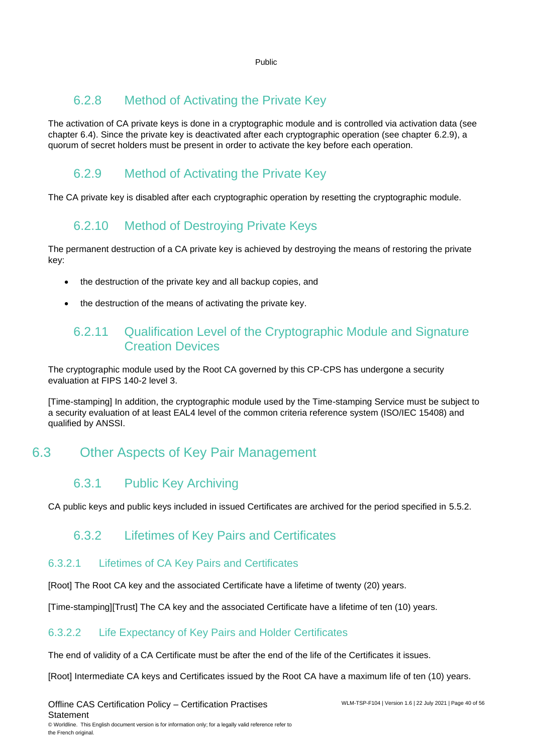### 6.2.8 Method of Activating the Private Key

The activation of CA private keys is done in a cryptographic module and is controlled via activation data (see chapter [6.4\)](#page-40-0). Since the private key is deactivated after each cryptographic operation (see chapter [6.2.9\)](#page-39-2), a quorum of secret holders must be present in order to activate the key before each operation.

# <span id="page-39-2"></span>6.2.9 Method of Activating the Private Key

The CA private key is disabled after each cryptographic operation by resetting the cryptographic module.

# 6.2.10 Method of Destroying Private Keys

The permanent destruction of a CA private key is achieved by destroying the means of restoring the private key:

- the destruction of the private key and all backup copies, and
- <span id="page-39-1"></span>the destruction of the means of activating the private key.

### 6.2.11 Qualification Level of the Cryptographic Module and Signature Creation Devices

The cryptographic module used by the Root CA governed by this CP-CPS has undergone a security evaluation at FIPS 140-2 level 3.

[Time-stamping] In addition, the cryptographic module used by the Time-stamping Service must be subject to a security evaluation of at least EAL4 level of the common criteria reference system (ISO/IEC 15408) and qualified by ANSSI.

# <span id="page-39-0"></span>6.3 Other Aspects of Key Pair Management

### 6.3.1 Public Key Archiving

CA public keys and public keys included in issued Certificates are archived for the period specified in [5.5.2.](#page-32-0)

### 6.3.2 Lifetimes of Key Pairs and Certificates

### 6.3.2.1 Lifetimes of CA Key Pairs and Certificates

[Root] The Root CA key and the associated Certificate have a lifetime of twenty (20) years.

[Time-stamping][Trust] The CA key and the associated Certificate have a lifetime of ten (10) years.

### 6.3.2.2 Life Expectancy of Key Pairs and Holder Certificates

The end of validity of a CA Certificate must be after the end of the life of the Certificates it issues.

[Root] Intermediate CA keys and Certificates issued by the Root CA have a maximum life of ten (10) years.

the French original.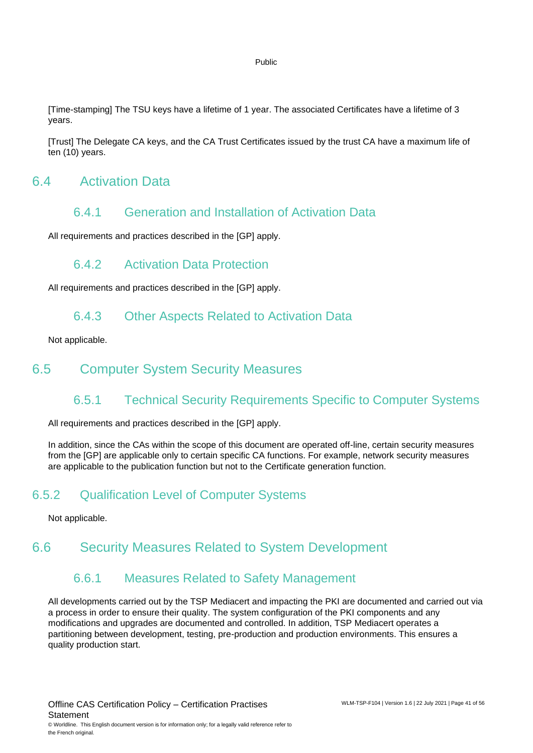[Time-stamping] The TSU keys have a lifetime of 1 year. The associated Certificates have a lifetime of 3 years.

[Trust] The Delegate CA keys, and the CA Trust Certificates issued by the trust CA have a maximum life of ten (10) years.

### <span id="page-40-0"></span>6.4 Activation Data

### 6.4.1 Generation and Installation of Activation Data

All requirements and practices described in the [GP] apply.

### 6.4.2 Activation Data Protection

All requirements and practices described in the [GP] apply.

### 6.4.3 Other Aspects Related to Activation Data

Not applicable.

### <span id="page-40-1"></span>6.5 Computer System Security Measures

### 6.5.1 Technical Security Requirements Specific to Computer Systems

All requirements and practices described in the [GP] apply.

In addition, since the CAs within the scope of this document are operated off-line, certain security measures from the [GP] are applicable only to certain specific CA functions. For example, network security measures are applicable to the publication function but not to the Certificate generation function.

### 6.5.2 Qualification Level of Computer Systems

Not applicable.

### <span id="page-40-2"></span>6.6 Security Measures Related to System Development

### 6.6.1 Measures Related to Safety Management

All developments carried out by the TSP Mediacert and impacting the PKI are documented and carried out via a process in order to ensure their quality. The system configuration of the PKI components and any modifications and upgrades are documented and controlled. In addition, TSP Mediacert operates a partitioning between development, testing, pre-production and production environments. This ensures a quality production start.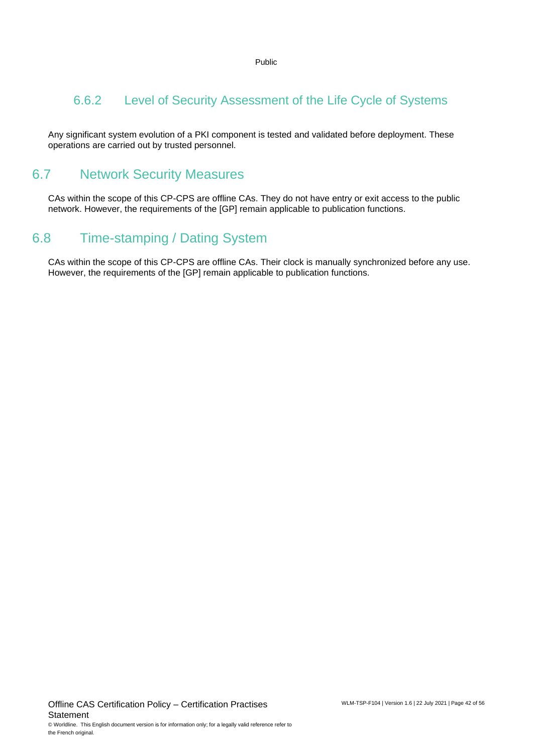### 6.6.2 Level of Security Assessment of the Life Cycle of Systems

Any significant system evolution of a PKI component is tested and validated before deployment. These operations are carried out by trusted personnel.

### <span id="page-41-0"></span>6.7 Network Security Measures

CAs within the scope of this CP-CPS are offline CAs. They do not have entry or exit access to the public network. However, the requirements of the [GP] remain applicable to publication functions.

# <span id="page-41-1"></span>6.8 Time-stamping / Dating System

CAs within the scope of this CP-CPS are offline CAs. Their clock is manually synchronized before any use. However, the requirements of the [GP] remain applicable to publication functions.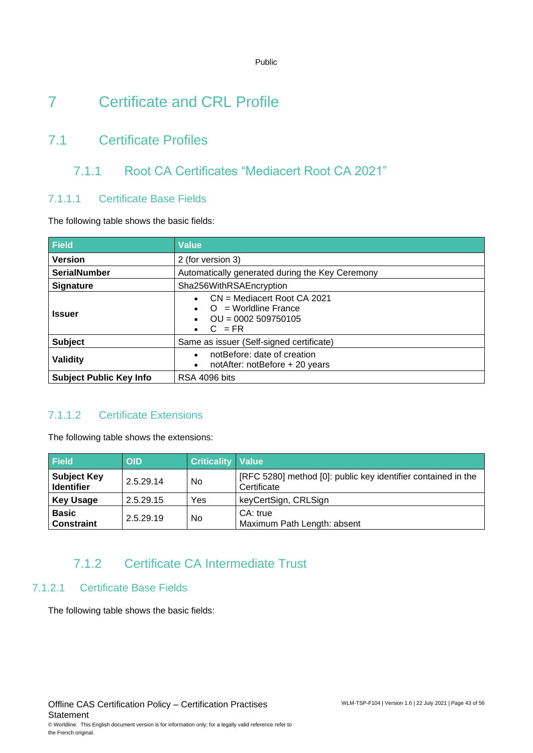# <span id="page-42-0"></span>7 Certificate and CRL Profile

# <span id="page-42-1"></span>7.1 Certificate Profiles

### 7.1.1 Root CA Certificates "Mediacert Root CA 2021"

### 7.1.1.1 Certificate Base Fields

The following table shows the basic fields:

| <b>Field</b>                   | <b>Value</b>                                                                                                                        |  |  |
|--------------------------------|-------------------------------------------------------------------------------------------------------------------------------------|--|--|
| <b>Version</b>                 | 2 (for version 3)                                                                                                                   |  |  |
| <b>SerialNumber</b>            | Automatically generated during the Key Ceremony                                                                                     |  |  |
| <b>Signature</b>               | Sha256WithRSAEncryption                                                                                                             |  |  |
| <b>Issuer</b>                  | $CN =$ Mediacert Root CA 2021<br>$\bullet$<br>$Q =$ Worldline France<br>$OU = 0002 509750105$<br>$\bullet$<br>$C = FR$<br>$\bullet$ |  |  |
| <b>Subject</b>                 | Same as issuer (Self-signed certificate)                                                                                            |  |  |
| Validity                       | notBefore: date of creation<br>$\bullet$<br>notAfter: notBefore + 20 years<br>$\bullet$                                             |  |  |
| <b>Subject Public Key Info</b> | RSA 4096 bits                                                                                                                       |  |  |

### 7.1.1.2 Certificate Extensions

The following table shows the extensions:

| <b>Field</b>                            | <b>OID</b> | <b>Criticality   Value</b> |                                                                              |
|-----------------------------------------|------------|----------------------------|------------------------------------------------------------------------------|
| <b>Subject Key</b><br><b>Identifier</b> | 2.5.29.14  | No                         | [RFC 5280] method [0]: public key identifier contained in the<br>Certificate |
| <b>Key Usage</b>                        | 2.5.29.15  | Yes                        | keyCertSign, CRLSign                                                         |
| <b>Basic</b><br><b>Constraint</b>       | 2.5.29.19  | No                         | CA: true<br>Maximum Path Length: absent                                      |

### 7.1.2 Certificate CA Intermediate Trust

### 7.1.2.1 Certificate Base Fields

The following table shows the basic fields: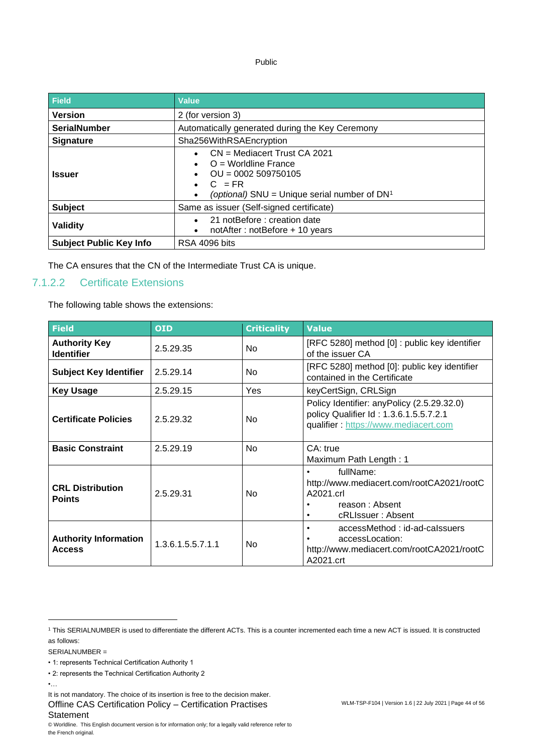| <b>Field</b>                   | <b>Value</b>                                                                                                                                                 |  |  |
|--------------------------------|--------------------------------------------------------------------------------------------------------------------------------------------------------------|--|--|
| <b>Version</b>                 | 2 (for version 3)                                                                                                                                            |  |  |
| <b>SerialNumber</b>            | Automatically generated during the Key Ceremony                                                                                                              |  |  |
| <b>Signature</b>               | Sha256WithRSAEncryption                                                                                                                                      |  |  |
| <b>Issuer</b>                  | $CN =$ Mediacert Trust CA 2021<br>$Q =$ Worldline France<br>$OU = 0002509750105$<br>$C = FR$<br>$\bullet$<br>(optional) SNU = Unique serial number of $DN^1$ |  |  |
| <b>Subject</b>                 | Same as issuer (Self-signed certificate)                                                                                                                     |  |  |
| Validity                       | 21 notBefore: creation date<br>notAfter: notBefore + 10 years<br>$\bullet$                                                                                   |  |  |
| <b>Subject Public Key Info</b> | RSA 4096 bits                                                                                                                                                |  |  |

The CA ensures that the CN of the Intermediate Trust CA is unique.

### 7.1.2.2 Certificate Extensions

The following table shows the extensions:

| <b>Field</b>                                  | <b>OID</b>        | <b>Criticality</b> | <b>Value</b>                                                                                                                 |
|-----------------------------------------------|-------------------|--------------------|------------------------------------------------------------------------------------------------------------------------------|
| <b>Authority Key</b><br><b>Identifier</b>     | 2.5.29.35         | No                 | [RFC 5280] method [0] : public key identifier<br>of the issuer CA                                                            |
| <b>Subject Key Identifier</b>                 | 2.5.29.14         | No.                | [RFC 5280] method [0]: public key identifier<br>contained in the Certificate                                                 |
| <b>Key Usage</b>                              | 2.5.29.15         | Yes                | keyCertSign, CRLSign                                                                                                         |
| <b>Certificate Policies</b>                   | 2.5.29.32         | No.                | Policy Identifier: anyPolicy (2.5.29.32.0)<br>policy Qualifier Id: 1.3.6.1.5.5.7.2.1<br>qualifier: https://www.mediacert.com |
| <b>Basic Constraint</b>                       | 2.5.29.19         | No                 | CA: true<br>Maximum Path Length: 1                                                                                           |
| <b>CRL Distribution</b><br><b>Points</b>      | 2.5.29.31         | No.                | fullName:<br>$\bullet$<br>http://www.mediacert.com/rootCA2021/rootC<br>A2021.crl<br>reason: Absent<br>cRLIssuer: Absent      |
| <b>Authority Information</b><br><b>Access</b> | 1.3.6.1.5.5.7.1.1 | No.                | accessMethod: id-ad-calssuers<br>accessLocation:<br>http://www.mediacert.com/rootCA2021/rootC<br>A2021.crt                   |

SERIALNUMBER =

<sup>1</sup> This SERIALNUMBER is used to differentiate the different ACTs. This is a counter incremented each time a new ACT is issued. It is constructed as follows:

<sup>• 1:</sup> represents Technical Certification Authority 1

<sup>• 2:</sup> represents the Technical Certification Authority 2

<sup>•…</sup>

Offline CAS Certification Policy – Certification Practises **Statement** It is not mandatory. The choice of its insertion is free to the decision maker.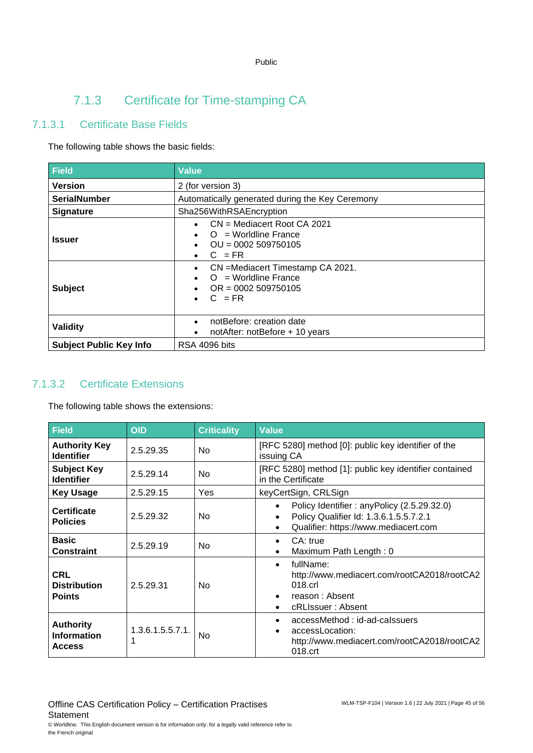# 7.1.3 Certificate for Time-stamping CA

### 7.1.3.1 Certificate Base Fields

The following table shows the basic fields:

| Field                          | <b>Value</b>                                                                                                                                                            |  |  |
|--------------------------------|-------------------------------------------------------------------------------------------------------------------------------------------------------------------------|--|--|
| <b>Version</b>                 | 2 (for version 3)                                                                                                                                                       |  |  |
| <b>SerialNumber</b>            | Automatically generated during the Key Ceremony                                                                                                                         |  |  |
| <b>Signature</b>               | Sha256WithRSAEncryption                                                                                                                                                 |  |  |
| <b>Issuer</b>                  | $CN =$ Mediacert Root CA 2021<br>$O =$ Worldline France<br>$OU = 0002509750105$<br>$C = FR$<br>CN = Mediacert Timestamp CA 2021.<br>$\bullet$<br>$Q =$ Worldline France |  |  |
| <b>Subject</b>                 | $OR = 0002509750105$<br>$C = FR$                                                                                                                                        |  |  |
| <b>Validity</b>                | notBefore: creation date<br>notAfter: notBefore + 10 years                                                                                                              |  |  |
| <b>Subject Public Key Info</b> | RSA 4096 bits                                                                                                                                                           |  |  |

### 7.1.3.2 Certificate Extensions

The following table shows the extensions:

| Field                                                   | <b>OID</b>           | <b>Criticality</b> | <b>Value</b>                                                                                                                                            |  |
|---------------------------------------------------------|----------------------|--------------------|---------------------------------------------------------------------------------------------------------------------------------------------------------|--|
| <b>Authority Key</b><br><b>Identifier</b>               | 2.5.29.35            | <b>No</b>          | [RFC 5280] method [0]: public key identifier of the<br>issuing CA                                                                                       |  |
| <b>Subject Key</b><br><b>Identifier</b>                 | 2.5.29.14            | <b>No</b>          | [RFC 5280] method [1]: public key identifier contained<br>in the Certificate                                                                            |  |
| <b>Key Usage</b>                                        | 2.5.29.15            | Yes                | keyCertSign, CRLSign                                                                                                                                    |  |
| <b>Certificate</b><br><b>Policies</b>                   | 2.5.29.32            | No.                | Policy Identifier: any Policy (2.5.29.32.0)<br>Policy Qualifier Id: 1.3.6.1.5.5.7.2.1<br>$\bullet$<br>Qualifier: https://www.mediacert.com<br>$\bullet$ |  |
| <b>Basic</b><br><b>Constraint</b>                       | 2.5.29.19            | No.                | CA: true<br>$\bullet$<br>Maximum Path Length: 0<br>$\bullet$                                                                                            |  |
| CRL<br><b>Distribution</b><br><b>Points</b>             | 2.5.29.31            | N <sub>0</sub>     | fullName:<br>$\bullet$<br>http://www.mediacert.com/rootCA2018/rootCA2<br>018.crl<br>reason: Absent<br>$\bullet$<br>cRLIssuer: Absent<br>$\bullet$       |  |
| <b>Authority</b><br><b>Information</b><br><b>Access</b> | 1.3.6.1.5.5.7.1<br>1 | <b>No</b>          | accessMethod: id-ad-calssuers<br>$\bullet$<br>accessLocation:<br>$\bullet$<br>http://www.mediacert.com/rootCA2018/rootCA2<br>018.crt                    |  |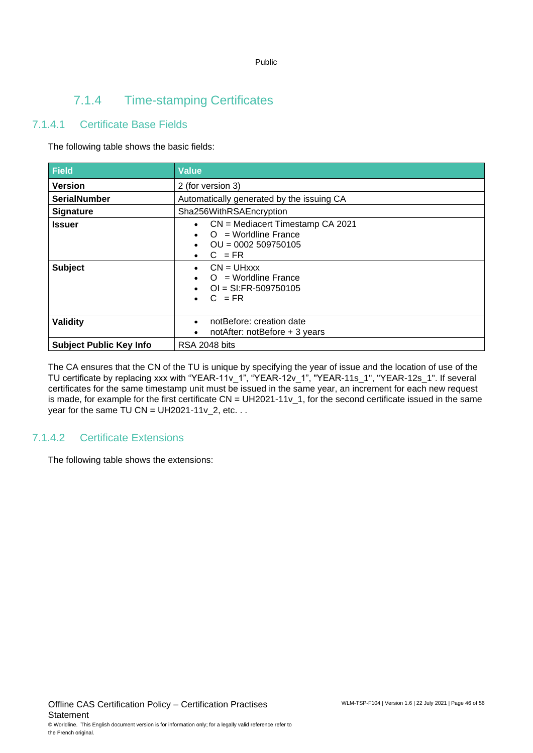### 7.1.4 Time-stamping Certificates

### 7.1.4.1 Certificate Base Fields

The following table shows the basic fields:

| <b>Field</b>                    | <b>Value</b>                                                                                                                                                                                                                  |
|---------------------------------|-------------------------------------------------------------------------------------------------------------------------------------------------------------------------------------------------------------------------------|
| <b>Version</b>                  | 2 (for version 3)                                                                                                                                                                                                             |
| <b>SerialNumber</b>             | Automatically generated by the issuing CA                                                                                                                                                                                     |
| <b>Signature</b>                | Sha256WithRSAEncryption                                                                                                                                                                                                       |
| <b>Issuer</b><br><b>Subject</b> | CN = Mediacert Timestamp CA 2021<br>$O =$ Worldline France<br>$OU = 0002509750105$<br>$C = FR$<br>$\bullet$<br>$CN = UHxxx$<br>$\bullet$<br>$O =$ Worldline France<br>$\bullet$<br>$OI = SI:FR-509750105$<br>$\bullet$ C = FR |
| <b>Validity</b>                 | notBefore: creation date<br>$\bullet$<br>notAfter: notBefore + 3 years<br>$\bullet$                                                                                                                                           |
| <b>Subject Public Key Info</b>  | RSA 2048 bits                                                                                                                                                                                                                 |

The CA ensures that the CN of the TU is unique by specifying the year of issue and the location of use of the TU certificate by replacing xxx with "YEAR-11v\_1", "YEAR-12v\_1", "YEAR-11s\_1", "YEAR-12s\_1". If several certificates for the same timestamp unit must be issued in the same year, an increment for each new request is made, for example for the first certificate  $CN = UH2021-11v$  1, for the second certificate issued in the same year for the same TU CN =  $UH2021-11v_2$ , etc. . .

### 7.1.4.2 Certificate Extensions

The following table shows the extensions: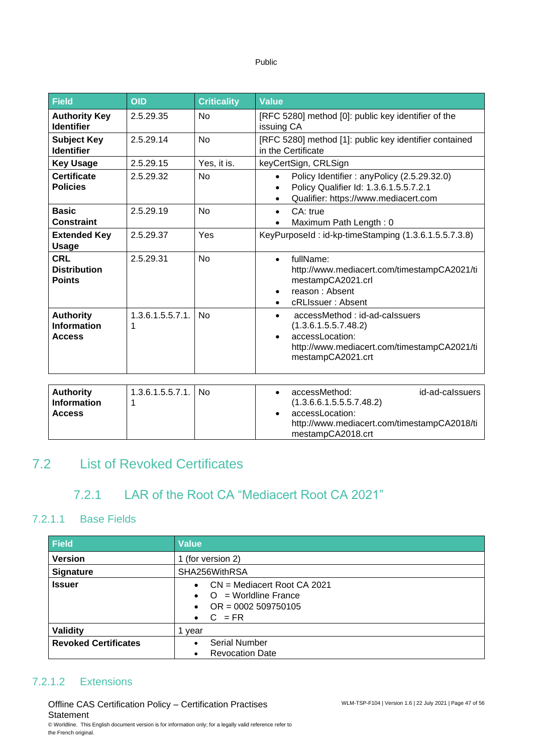| . .<br>× | ۰, | ı |
|----------|----|---|

| Field                                                   | <b>OID</b>            | <b>Criticality</b> | <b>Value</b>                                                                                                                                                           |  |
|---------------------------------------------------------|-----------------------|--------------------|------------------------------------------------------------------------------------------------------------------------------------------------------------------------|--|
| <b>Authority Key</b><br><b>Identifier</b>               | 2.5.29.35             | <b>No</b>          | [RFC 5280] method [0]: public key identifier of the<br>issuing CA                                                                                                      |  |
| <b>Subject Key</b><br><b>Identifier</b>                 | 2.5.29.14             | <b>No</b>          | [RFC 5280] method [1]: public key identifier contained<br>in the Certificate                                                                                           |  |
| <b>Key Usage</b>                                        | 2.5.29.15             | Yes, it is.        | keyCertSign, CRLSign                                                                                                                                                   |  |
| <b>Certificate</b><br><b>Policies</b>                   | 2.5.29.32             | <b>No</b>          | Policy Identifier: anyPolicy (2.5.29.32.0)<br>Policy Qualifier Id: 1.3.6.1.5.5.7.2.1<br>$\bullet$<br>Qualifier: https://www.mediacert.com                              |  |
| <b>Basic</b><br><b>Constraint</b>                       | 2.5.29.19             | <b>No</b>          | CA: true<br>$\bullet$<br>Maximum Path Length: 0                                                                                                                        |  |
| <b>Extended Key</b><br><b>Usage</b>                     | 2.5.29.37             | Yes                | KeyPurposeId: id-kp-timeStamping (1.3.6.1.5.5.7.3.8)                                                                                                                   |  |
| <b>CRL</b><br><b>Distribution</b><br><b>Points</b>      | 2.5.29.31             | <b>No</b>          | fullName:<br>$\bullet$<br>http://www.mediacert.com/timestampCA2021/ti<br>mestampCA2021.crl<br>reason: Absent<br>$\bullet$<br>cRLIssuer: Absent                         |  |
| <b>Authority</b><br><b>Information</b><br><b>Access</b> | 1.3.6.1.5.5.7.1.<br>1 | <b>No</b>          | accessMethod: id-ad-calssuers<br>$\bullet$<br>(1.3.6.1.5.5.7.48.2)<br>accessLocation:<br>$\bullet$<br>http://www.mediacert.com/timestampCA2021/ti<br>mestampCA2021.crt |  |
| <b>Authority</b><br><b>Information</b><br><b>Access</b> | 1.3.6.1.5.5.7.1.<br>1 | <b>No</b>          | accessMethod:<br>id-ad-calssuers<br>$\bullet$<br>(1.3.6.6.1.5.5.5.7.48.2)<br>accessLocation:<br>http://www.mediacert.com/timestampCA2018/ti                            |  |

### <span id="page-46-0"></span>7.2 List of Revoked Certificates

### 7.2.1 LAR of the Root CA "Mediacert Root CA 2021"

### 7.2.1.1 Base Fields

| <b>Field</b>                | <b>Value</b>                                                                                                                               |  |
|-----------------------------|--------------------------------------------------------------------------------------------------------------------------------------------|--|
| <b>Version</b>              | 1 (for version 2)                                                                                                                          |  |
| <b>Signature</b>            | SHA256WithRSA                                                                                                                              |  |
| <b>Issuer</b>               | $CN =$ Mediacert Root CA 2021<br>$\bullet$<br>$\bullet$ O = Worldline France<br>$OR = 0002509750105$<br>$\bullet$<br>$C = FR$<br>$\bullet$ |  |
| Validity                    | year                                                                                                                                       |  |
| <b>Revoked Certificates</b> | <b>Serial Number</b><br>$\bullet$<br><b>Revocation Date</b><br>$\bullet$                                                                   |  |

mestampCA2018.crt

### 7.2.1.2 Extensions

Offline CAS Certification Policy – Certification Practises **Statement** © Worldline. This English document version is for information only; for a legally valid reference refer to the French original.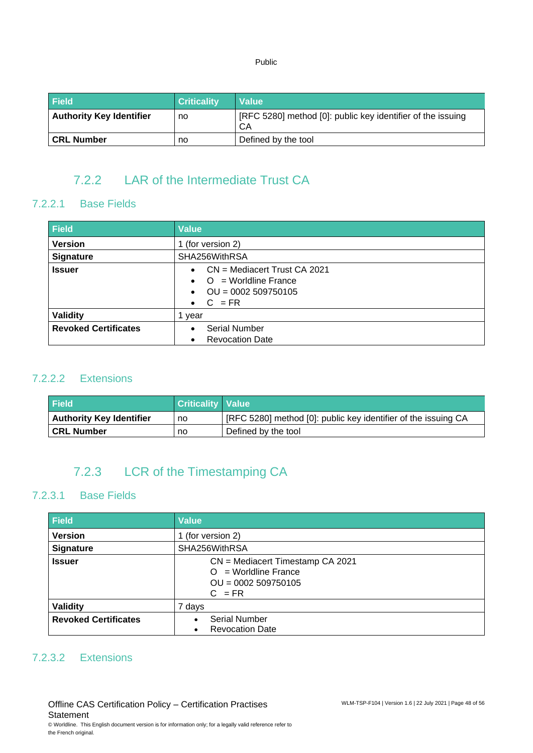| <b>Field</b>                    | <b>Criticality</b> | <b>Value</b>                                                      |
|---------------------------------|--------------------|-------------------------------------------------------------------|
| <b>Authority Key Identifier</b> | no                 | [RFC 5280] method [0]: public key identifier of the issuing<br>СA |
| l CRL Number                    | no                 | Defined by the tool                                               |

# 7.2.2 LAR of the Intermediate Trust CA

### 7.2.2.1 Base Fields

| <b>Field</b>                | <b>Value</b>                                                                                                                    |  |
|-----------------------------|---------------------------------------------------------------------------------------------------------------------------------|--|
| <b>Version</b>              | 1 (for version 2)                                                                                                               |  |
| <b>Signature</b>            | SHA256WithRSA                                                                                                                   |  |
| <b>Issuer</b>               | $CN =$ Mediacert Trust CA 2021<br>$\bullet$<br>$\bullet$ O = Worldline France<br>$OU = 0002 509750105$<br>$C = FR$<br>$\bullet$ |  |
| <b>Validity</b>             | year                                                                                                                            |  |
| <b>Revoked Certificates</b> | <b>Serial Number</b><br><b>Revocation Date</b>                                                                                  |  |

### 7.2.2.2 Extensions

| <b>Field</b>                    | <b>Criticality Value</b> |                                                                |
|---------------------------------|--------------------------|----------------------------------------------------------------|
| <b>Authority Key Identifier</b> | no                       | [RFC 5280] method [0]: public key identifier of the issuing CA |
| l CRL Number                    | no                       | Defined by the tool                                            |

# 7.2.3 LCR of the Timestamping CA

### 7.2.3.1 Base Fields

| <b>Field</b>                | <b>Value</b>                                                                                       |  |  |
|-----------------------------|----------------------------------------------------------------------------------------------------|--|--|
| <b>Version</b>              | (for version 2)                                                                                    |  |  |
| <b>Signature</b>            | SHA256WithRSA                                                                                      |  |  |
| <b>Issuer</b>               | CN = Mediacert Timestamp CA 2021<br>$=$ Worldline France<br>∩<br>$OU = 0002 509750105$<br>$C = FR$ |  |  |
| <b>Validity</b>             | 7 days                                                                                             |  |  |
| <b>Revoked Certificates</b> | <b>Serial Number</b><br><b>Revocation Date</b><br>٠                                                |  |  |

### 7.2.3.2 Extensions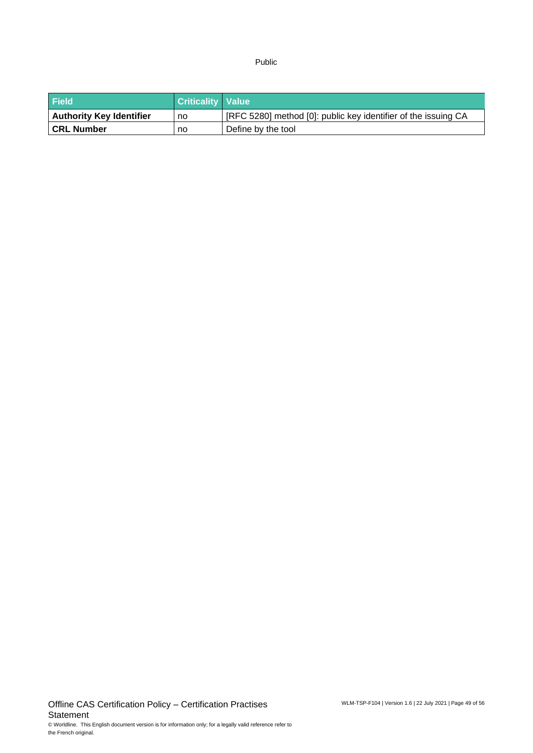| <b>Field</b>                    | <b>Criticality Value</b> |                                                                |
|---------------------------------|--------------------------|----------------------------------------------------------------|
| <b>Authority Key Identifier</b> | no                       | [RFC 5280] method [0]: public key identifier of the issuing CA |
| <b>CRL Number</b>               | no                       | Define by the tool                                             |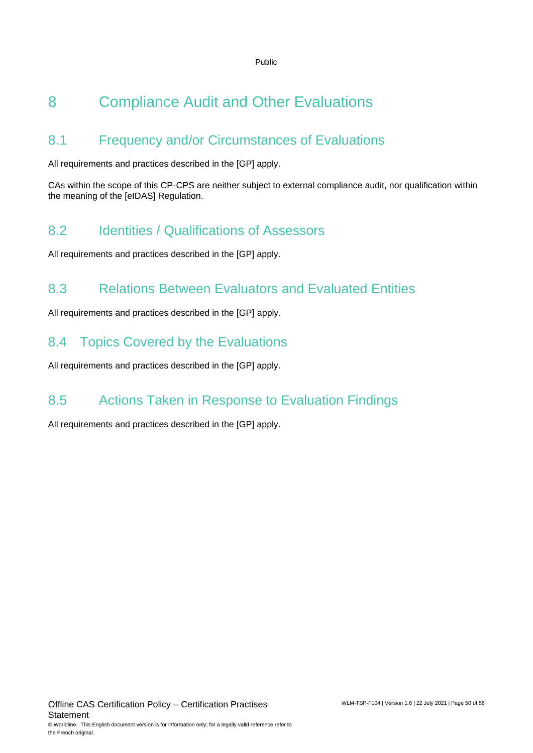# <span id="page-49-0"></span>8 Compliance Audit and Other Evaluations

# <span id="page-49-1"></span>8.1 Frequency and/or Circumstances of Evaluations

All requirements and practices described in the [GP] apply.

CAs within the scope of this CP-CPS are neither subject to external compliance audit, nor qualification within the meaning of the [eIDAS] Regulation.

# <span id="page-49-2"></span>8.2 Identities / Qualifications of Assessors

<span id="page-49-3"></span>All requirements and practices described in the [GP] apply.

# 8.3 Relations Between Evaluators and Evaluated Entities

All requirements and practices described in the [GP] apply.

# <span id="page-49-4"></span>8.4 Topics Covered by the Evaluations

<span id="page-49-5"></span>All requirements and practices described in the [GP] apply.

# 8.5 Actions Taken in Response to Evaluation Findings

All requirements and practices described in the [GP] apply.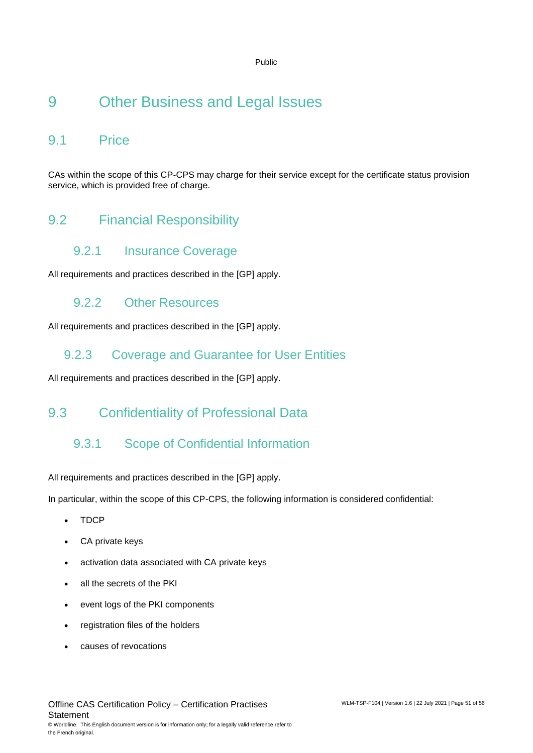# <span id="page-50-0"></span>9 Other Business and Legal Issues

# <span id="page-50-1"></span>9.1 Price

<span id="page-50-2"></span>CAs within the scope of this CP-CPS may charge for their service except for the certificate status provision service, which is provided free of charge.

# 9.2 Financial Responsibility

### 9.2.1 Insurance Coverage

All requirements and practices described in the [GP] apply.

### 9.2.2 Other Resources

All requirements and practices described in the [GP] apply.

### 9.2.3 Coverage and Guarantee for User Entities

<span id="page-50-3"></span>All requirements and practices described in the [GP] apply.

# 9.3 Confidentiality of Professional Data

### 9.3.1 Scope of Confidential Information

All requirements and practices described in the [GP] apply.

In particular, within the scope of this CP-CPS, the following information is considered confidential:

- TDCP
- CA private keys
- activation data associated with CA private keys
- all the secrets of the PKI
- event logs of the PKI components
- registration files of the holders
- causes of revocations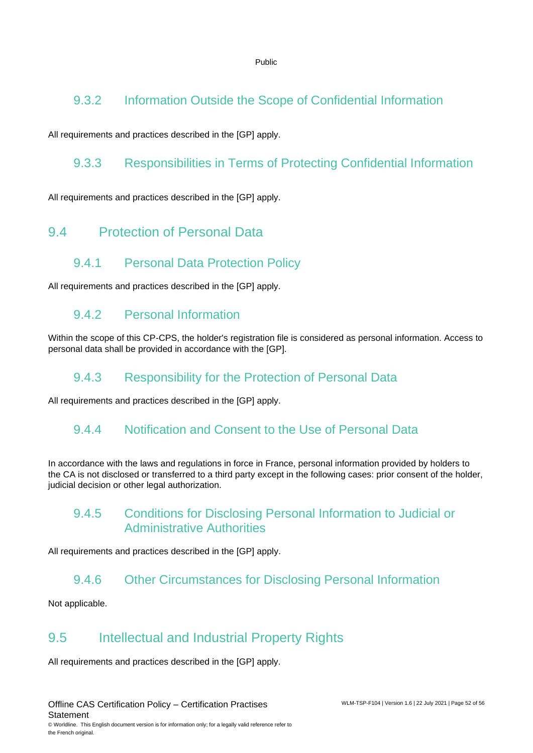### 9.3.2 Information Outside the Scope of Confidential Information

All requirements and practices described in the [GP] apply.

### 9.3.3 Responsibilities in Terms of Protecting Confidential Information

<span id="page-51-0"></span>All requirements and practices described in the [GP] apply.

# 9.4 Protection of Personal Data

### 9.4.1 Personal Data Protection Policy

All requirements and practices described in the [GP] apply.

### 9.4.2 Personal Information

Within the scope of this CP-CPS, the holder's registration file is considered as personal information. Access to personal data shall be provided in accordance with the [GP].

### 9.4.3 Responsibility for the Protection of Personal Data

All requirements and practices described in the [GP] apply.

### 9.4.4 Notification and Consent to the Use of Personal Data

In accordance with the laws and regulations in force in France, personal information provided by holders to the CA is not disclosed or transferred to a third party except in the following cases: prior consent of the holder, judicial decision or other legal authorization.

### 9.4.5 Conditions for Disclosing Personal Information to Judicial or Administrative Authorities

All requirements and practices described in the [GP] apply.

### 9.4.6 Other Circumstances for Disclosing Personal Information

<span id="page-51-1"></span>Not applicable.

# 9.5 Intellectual and Industrial Property Rights

All requirements and practices described in the [GP] apply.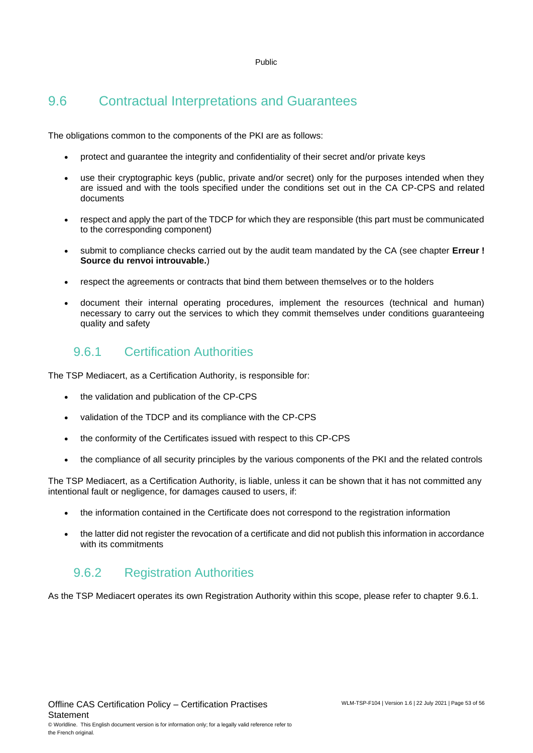# <span id="page-52-0"></span>9.6 Contractual Interpretations and Guarantees

The obligations common to the components of the PKI are as follows:

- protect and guarantee the integrity and confidentiality of their secret and/or private keys
- use their cryptographic keys (public, private and/or secret) only for the purposes intended when they are issued and with the tools specified under the conditions set out in the CA CP-CPS and related documents
- respect and apply the part of the TDCP for which they are responsible (this part must be communicated to the corresponding component)
- submit to compliance checks carried out by the audit team mandated by the CA (see chapter **Erreur ! Source du renvoi introuvable.**)
- respect the agreements or contracts that bind them between themselves or to the holders
- document their internal operating procedures, implement the resources (technical and human) necessary to carry out the services to which they commit themselves under conditions guaranteeing quality and safety

### <span id="page-52-1"></span>9.6.1 Certification Authorities

The TSP Mediacert, as a Certification Authority, is responsible for:

- the validation and publication of the CP-CPS
- validation of the TDCP and its compliance with the CP-CPS
- the conformity of the Certificates issued with respect to this CP-CPS
- the compliance of all security principles by the various components of the PKI and the related controls

The TSP Mediacert, as a Certification Authority, is liable, unless it can be shown that it has not committed any intentional fault or negligence, for damages caused to users, if:

- the information contained in the Certificate does not correspond to the registration information
- the latter did not register the revocation of a certificate and did not publish this information in accordance with its commitments

### 9.6.2 Registration Authorities

As the TSP Mediacert operates its own Registration Authority within this scope, please refer to chapter [9.6.1.](#page-52-1)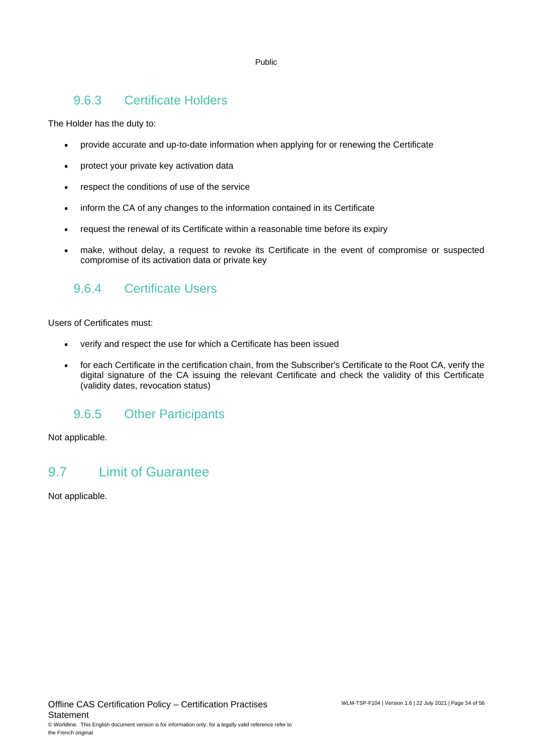### 9.6.3 Certificate Holders

The Holder has the duty to:

- provide accurate and up-to-date information when applying for or renewing the Certificate
- protect your private key activation data
- respect the conditions of use of the service
- inform the CA of any changes to the information contained in its Certificate
- request the renewal of its Certificate within a reasonable time before its expiry
- make, without delay, a request to revoke its Certificate in the event of compromise or suspected compromise of its activation data or private key

### 9.6.4 Certificate Users

Users of Certificates must:

- verify and respect the use for which a Certificate has been issued
- for each Certificate in the certification chain, from the Subscriber's Certificate to the Root CA, verify the digital signature of the CA issuing the relevant Certificate and check the validity of this Certificate (validity dates, revocation status)

### 9.6.5 Other Participants

<span id="page-53-0"></span>Not applicable.

### 9.7 Limit of Guarantee

Not applicable.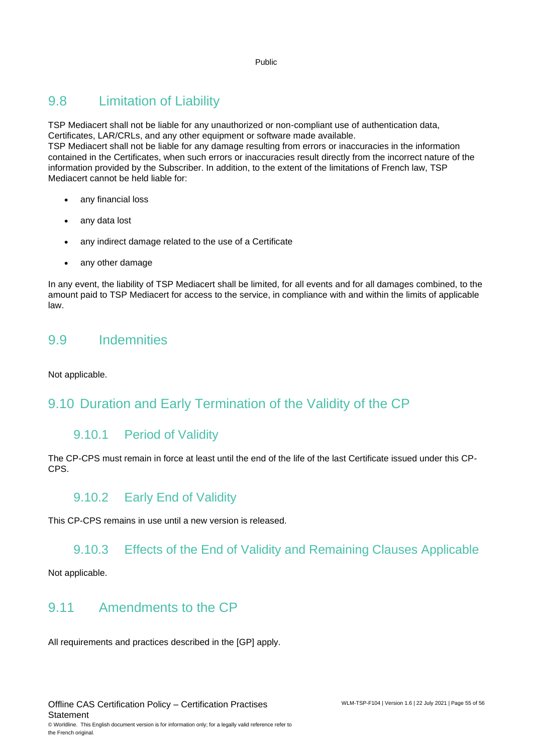# <span id="page-54-0"></span>9.8 Limitation of Liability

TSP Mediacert shall not be liable for any unauthorized or non-compliant use of authentication data, Certificates, LAR/CRLs, and any other equipment or software made available.

TSP Mediacert shall not be liable for any damage resulting from errors or inaccuracies in the information contained in the Certificates, when such errors or inaccuracies result directly from the incorrect nature of the information provided by the Subscriber. In addition, to the extent of the limitations of French law, TSP Mediacert cannot be held liable for:

- any financial loss
- any data lost
- any indirect damage related to the use of a Certificate
- any other damage

In any event, the liability of TSP Mediacert shall be limited, for all events and for all damages combined, to the amount paid to TSP Mediacert for access to the service, in compliance with and within the limits of applicable law.

### <span id="page-54-1"></span>9.9 Indemnities

Not applicable.

# <span id="page-54-2"></span>9.10 Duration and Early Termination of the Validity of the CP

### 9.10.1 Period of Validity

The CP-CPS must remain in force at least until the end of the life of the last Certificate issued under this CP-CPS.

### 9.10.2 Early End of Validity

This CP-CPS remains in use until a new version is released.

### 9.10.3 Effects of the End of Validity and Remaining Clauses Applicable

<span id="page-54-3"></span>Not applicable.

### 9.11 Amendments to the CP

All requirements and practices described in the [GP] apply.